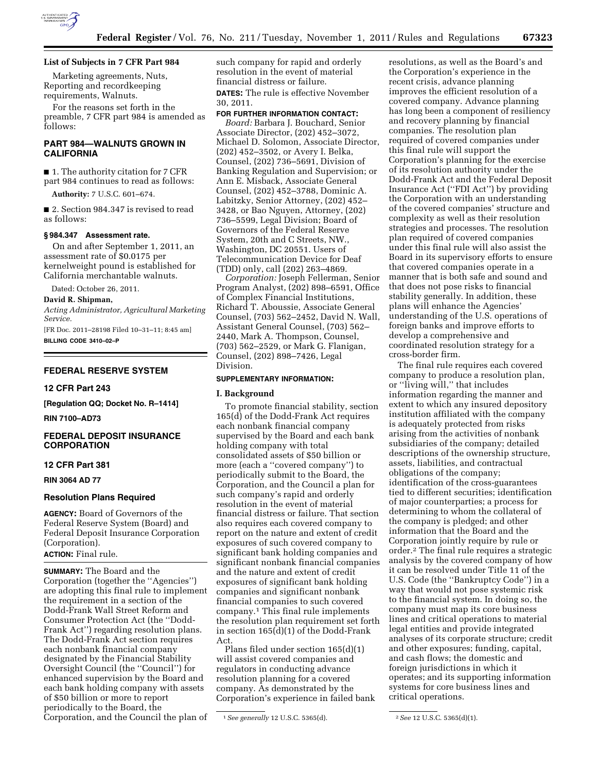

# **List of Subjects in 7 CFR Part 984**

Marketing agreements, Nuts, Reporting and recordkeeping requirements, Walnuts.

For the reasons set forth in the preamble, 7 CFR part 984 is amended as follows:

# **PART 984—WALNUTS GROWN IN CALIFORNIA**

■ 1. The authority citation for 7 CFR part 984 continues to read as follows:

**Authority:** 7 U.S.C. 601–674.

■ 2. Section 984.347 is revised to read as follows:

# **§ 984.347 Assessment rate.**

On and after September 1, 2011, an assessment rate of \$0.0175 per kernelweight pound is established for California merchantable walnuts.

Dated: October 26, 2011.

**David R. Shipman,** 

*Acting Administrator, Agricultural Marketing Service.* 

[FR Doc. 2011–28198 Filed 10–31–11; 8:45 am] **BILLING CODE 3410–02–P** 

## **FEDERAL RESERVE SYSTEM**

### **12 CFR Part 243**

**[Regulation QQ; Docket No. R–1414]** 

**RIN 7100–AD73** 

# **FEDERAL DEPOSIT INSURANCE CORPORATION**

# **12 CFR Part 381**

**RIN 3064 AD 77** 

### **Resolution Plans Required**

**AGENCY:** Board of Governors of the Federal Reserve System (Board) and Federal Deposit Insurance Corporation (Corporation).

## **ACTION:** Final rule.

**SUMMARY:** The Board and the Corporation (together the ''Agencies'') are adopting this final rule to implement the requirement in a section of the Dodd-Frank Wall Street Reform and Consumer Protection Act (the ''Dodd-Frank Act'') regarding resolution plans. The Dodd-Frank Act section requires each nonbank financial company designated by the Financial Stability Oversight Council (the ''Council'') for enhanced supervision by the Board and each bank holding company with assets of \$50 billion or more to report periodically to the Board, the Corporation, and the Council the plan of

such company for rapid and orderly resolution in the event of material financial distress or failure. **DATES:** The rule is effective November 30, 2011.

### **FOR FURTHER INFORMATION CONTACT:**

*Board:* Barbara J. Bouchard, Senior Associate Director, (202) 452–3072, Michael D. Solomon, Associate Director, (202) 452–3502, or Avery I. Belka, Counsel, (202) 736–5691, Division of Banking Regulation and Supervision; or Ann E. Misback, Associate General Counsel, (202) 452–3788, Dominic A. Labitzky, Senior Attorney, (202) 452– 3428, or Bao Nguyen, Attorney, (202) 736–5599, Legal Division; Board of Governors of the Federal Reserve System, 20th and C Streets, NW., Washington, DC 20551. Users of Telecommunication Device for Deaf (TDD) only, call (202) 263–4869.

*Corporation:* Joseph Fellerman, Senior Program Analyst, (202) 898–6591, Office of Complex Financial Institutions, Richard T. Aboussie, Associate General Counsel, (703) 562–2452, David N. Wall, Assistant General Counsel, (703) 562– 2440, Mark A. Thompson, Counsel, (703) 562–2529, or Mark G. Flanigan, Counsel, (202) 898–7426, Legal Division.

### **SUPPLEMENTARY INFORMATION:**

#### **I. Background**

To promote financial stability, section 165(d) of the Dodd-Frank Act requires each nonbank financial company supervised by the Board and each bank holding company with total consolidated assets of \$50 billion or more (each a ''covered company'') to periodically submit to the Board, the Corporation, and the Council a plan for such company's rapid and orderly resolution in the event of material financial distress or failure. That section also requires each covered company to report on the nature and extent of credit exposures of such covered company to significant bank holding companies and significant nonbank financial companies and the nature and extent of credit exposures of significant bank holding companies and significant nonbank financial companies to such covered company.1 This final rule implements the resolution plan requirement set forth in section 165(d)(1) of the Dodd-Frank Act.

Plans filed under section 165(d)(1) will assist covered companies and regulators in conducting advance resolution planning for a covered company. As demonstrated by the Corporation's experience in failed bank

resolutions, as well as the Board's and the Corporation's experience in the recent crisis, advance planning improves the efficient resolution of a covered company. Advance planning has long been a component of resiliency and recovery planning by financial companies. The resolution plan required of covered companies under this final rule will support the Corporation's planning for the exercise of its resolution authority under the Dodd-Frank Act and the Federal Deposit Insurance Act (''FDI Act'') by providing the Corporation with an understanding of the covered companies' structure and complexity as well as their resolution strategies and processes. The resolution plan required of covered companies under this final rule will also assist the Board in its supervisory efforts to ensure that covered companies operate in a manner that is both safe and sound and that does not pose risks to financial stability generally. In addition, these plans will enhance the Agencies' understanding of the U.S. operations of foreign banks and improve efforts to develop a comprehensive and coordinated resolution strategy for a cross-border firm.

The final rule requires each covered company to produce a resolution plan, or ''living will,'' that includes information regarding the manner and extent to which any insured depository institution affiliated with the company is adequately protected from risks arising from the activities of nonbank subsidiaries of the company; detailed descriptions of the ownership structure, assets, liabilities, and contractual obligations of the company; identification of the cross-guarantees tied to different securities; identification of major counterparties; a process for determining to whom the collateral of the company is pledged; and other information that the Board and the Corporation jointly require by rule or order.2 The final rule requires a strategic analysis by the covered company of how it can be resolved under Title 11 of the U.S. Code (the ''Bankruptcy Code'') in a way that would not pose systemic risk to the financial system. In doing so, the company must map its core business lines and critical operations to material legal entities and provide integrated analyses of its corporate structure; credit and other exposures; funding, capital, and cash flows; the domestic and foreign jurisdictions in which it operates; and its supporting information systems for core business lines and critical operations.

<sup>1</sup>*See generally* 12 U.S.C. 5365(d). 2*See* 12 U.S.C. 5365(d)(1).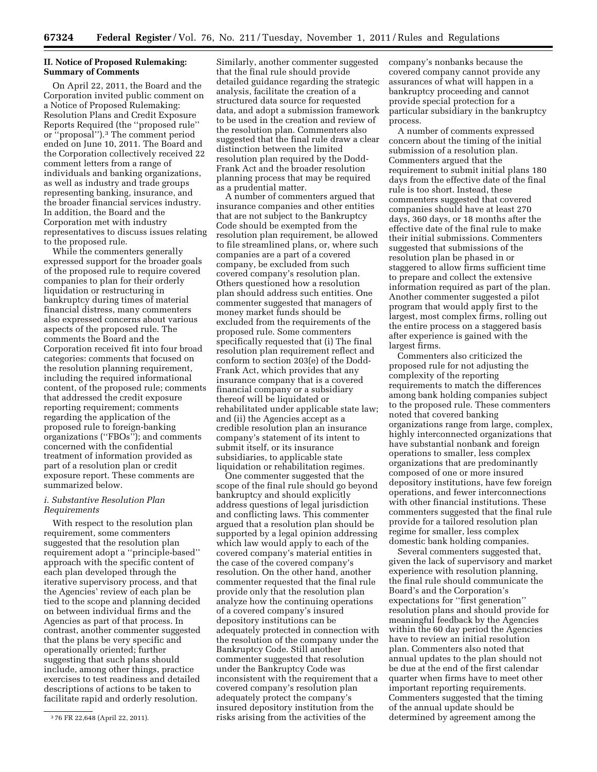## **II. Notice of Proposed Rulemaking: Summary of Comments**

On April 22, 2011, the Board and the Corporation invited public comment on a Notice of Proposed Rulemaking: Resolution Plans and Credit Exposure Reports Required (the ''proposed rule'' or ''proposal'').3 The comment period ended on June 10, 2011. The Board and the Corporation collectively received 22 comment letters from a range of individuals and banking organizations, as well as industry and trade groups representing banking, insurance, and the broader financial services industry. In addition, the Board and the Corporation met with industry representatives to discuss issues relating to the proposed rule.

While the commenters generally expressed support for the broader goals of the proposed rule to require covered companies to plan for their orderly liquidation or restructuring in bankruptcy during times of material financial distress, many commenters also expressed concerns about various aspects of the proposed rule. The comments the Board and the Corporation received fit into four broad categories: comments that focused on the resolution planning requirement, including the required informational content, of the proposed rule; comments that addressed the credit exposure reporting requirement; comments regarding the application of the proposed rule to foreign-banking organizations (''FBOs''); and comments concerned with the confidential treatment of information provided as part of a resolution plan or credit exposure report. These comments are summarized below.

# *i. Substantive Resolution Plan Requirements*

With respect to the resolution plan requirement, some commenters suggested that the resolution plan requirement adopt a ''principle-based'' approach with the specific content of each plan developed through the iterative supervisory process, and that the Agencies' review of each plan be tied to the scope and planning decided on between individual firms and the Agencies as part of that process. In contrast, another commenter suggested that the plans be very specific and operationally oriented; further suggesting that such plans should include, among other things, practice exercises to test readiness and detailed descriptions of actions to be taken to facilitate rapid and orderly resolution.

Similarly, another commenter suggested that the final rule should provide detailed guidance regarding the strategic analysis, facilitate the creation of a structured data source for requested data, and adopt a submission framework to be used in the creation and review of the resolution plan. Commenters also suggested that the final rule draw a clear distinction between the limited resolution plan required by the Dodd-Frank Act and the broader resolution planning process that may be required as a prudential matter.

A number of commenters argued that insurance companies and other entities that are not subject to the Bankruptcy Code should be exempted from the resolution plan requirement, be allowed to file streamlined plans, or, where such companies are a part of a covered company, be excluded from such covered company's resolution plan. Others questioned how a resolution plan should address such entities. One commenter suggested that managers of money market funds should be excluded from the requirements of the proposed rule. Some commenters specifically requested that (i) The final resolution plan requirement reflect and conform to section 203(e) of the Dodd-Frank Act, which provides that any insurance company that is a covered financial company or a subsidiary thereof will be liquidated or rehabilitated under applicable state law; and (ii) the Agencies accept as a credible resolution plan an insurance company's statement of its intent to submit itself, or its insurance subsidiaries, to applicable state liquidation or rehabilitation regimes.

One commenter suggested that the scope of the final rule should go beyond bankruptcy and should explicitly address questions of legal jurisdiction and conflicting laws. This commenter argued that a resolution plan should be supported by a legal opinion addressing which law would apply to each of the covered company's material entities in the case of the covered company's resolution. On the other hand, another commenter requested that the final rule provide only that the resolution plan analyze how the continuing operations of a covered company's insured depository institutions can be adequately protected in connection with the resolution of the company under the Bankruptcy Code. Still another commenter suggested that resolution under the Bankruptcy Code was inconsistent with the requirement that a covered company's resolution plan adequately protect the company's insured depository institution from the risks arising from the activities of the

company's nonbanks because the covered company cannot provide any assurances of what will happen in a bankruptcy proceeding and cannot provide special protection for a particular subsidiary in the bankruptcy process.

A number of comments expressed concern about the timing of the initial submission of a resolution plan. Commenters argued that the requirement to submit initial plans 180 days from the effective date of the final rule is too short. Instead, these commenters suggested that covered companies should have at least 270 days, 360 days, or 18 months after the effective date of the final rule to make their initial submissions. Commenters suggested that submissions of the resolution plan be phased in or staggered to allow firms sufficient time to prepare and collect the extensive information required as part of the plan. Another commenter suggested a pilot program that would apply first to the largest, most complex firms, rolling out the entire process on a staggered basis after experience is gained with the largest firms.

Commenters also criticized the proposed rule for not adjusting the complexity of the reporting requirements to match the differences among bank holding companies subject to the proposed rule. These commenters noted that covered banking organizations range from large, complex, highly interconnected organizations that have substantial nonbank and foreign operations to smaller, less complex organizations that are predominantly composed of one or more insured depository institutions, have few foreign operations, and fewer interconnections with other financial institutions. These commenters suggested that the final rule provide for a tailored resolution plan regime for smaller, less complex domestic bank holding companies.

Several commenters suggested that, given the lack of supervisory and market experience with resolution planning, the final rule should communicate the Board's and the Corporation's expectations for ''first generation'' resolution plans and should provide for meaningful feedback by the Agencies within the 60 day period the Agencies have to review an initial resolution plan. Commenters also noted that annual updates to the plan should not be due at the end of the first calendar quarter when firms have to meet other important reporting requirements. Commenters suggested that the timing of the annual update should be determined by agreement among the

<sup>3</sup> 76 FR 22,648 (April 22, 2011).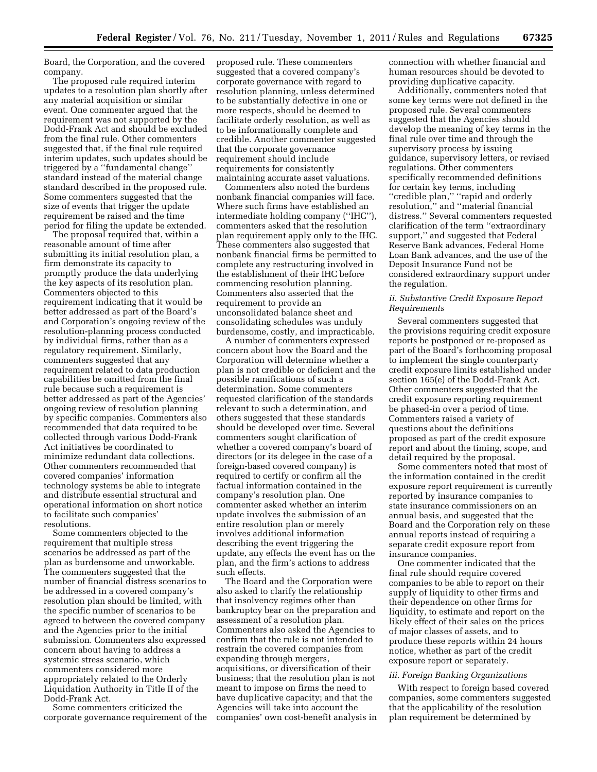Board, the Corporation, and the covered company.

The proposed rule required interim updates to a resolution plan shortly after any material acquisition or similar event. One commenter argued that the requirement was not supported by the Dodd-Frank Act and should be excluded from the final rule. Other commenters suggested that, if the final rule required interim updates, such updates should be triggered by a ''fundamental change'' standard instead of the material change standard described in the proposed rule. Some commenters suggested that the size of events that trigger the update requirement be raised and the time period for filing the update be extended.

The proposal required that, within a reasonable amount of time after submitting its initial resolution plan, a firm demonstrate its capacity to promptly produce the data underlying the key aspects of its resolution plan. Commenters objected to this requirement indicating that it would be better addressed as part of the Board's and Corporation's ongoing review of the resolution-planning process conducted by individual firms, rather than as a regulatory requirement. Similarly, commenters suggested that any requirement related to data production capabilities be omitted from the final rule because such a requirement is better addressed as part of the Agencies' ongoing review of resolution planning by specific companies. Commenters also recommended that data required to be collected through various Dodd-Frank Act initiatives be coordinated to minimize redundant data collections. Other commenters recommended that covered companies' information technology systems be able to integrate and distribute essential structural and operational information on short notice to facilitate such companies' resolutions.

Some commenters objected to the requirement that multiple stress scenarios be addressed as part of the plan as burdensome and unworkable. The commenters suggested that the number of financial distress scenarios to be addressed in a covered company's resolution plan should be limited, with the specific number of scenarios to be agreed to between the covered company and the Agencies prior to the initial submission. Commenters also expressed concern about having to address a systemic stress scenario, which commenters considered more appropriately related to the Orderly Liquidation Authority in Title II of the Dodd-Frank Act.

Some commenters criticized the corporate governance requirement of the

proposed rule. These commenters suggested that a covered company's corporate governance with regard to resolution planning, unless determined to be substantially defective in one or more respects, should be deemed to facilitate orderly resolution, as well as to be informationally complete and credible. Another commenter suggested that the corporate governance requirement should include requirements for consistently maintaining accurate asset valuations.

Commenters also noted the burdens nonbank financial companies will face. Where such firms have established an intermediate holding company (''IHC''), commenters asked that the resolution plan requirement apply only to the IHC. These commenters also suggested that nonbank financial firms be permitted to complete any restructuring involved in the establishment of their IHC before commencing resolution planning. Commenters also asserted that the requirement to provide an unconsolidated balance sheet and consolidating schedules was unduly burdensome, costly, and impracticable.

A number of commenters expressed concern about how the Board and the Corporation will determine whether a plan is not credible or deficient and the possible ramifications of such a determination. Some commenters requested clarification of the standards relevant to such a determination, and others suggested that these standards should be developed over time. Several commenters sought clarification of whether a covered company's board of directors (or its delegee in the case of a foreign-based covered company) is required to certify or confirm all the factual information contained in the company's resolution plan. One commenter asked whether an interim update involves the submission of an entire resolution plan or merely involves additional information describing the event triggering the update, any effects the event has on the plan, and the firm's actions to address such effects.

The Board and the Corporation were also asked to clarify the relationship that insolvency regimes other than bankruptcy bear on the preparation and assessment of a resolution plan. Commenters also asked the Agencies to confirm that the rule is not intended to restrain the covered companies from expanding through mergers, acquisitions, or diversification of their business; that the resolution plan is not meant to impose on firms the need to have duplicative capacity; and that the Agencies will take into account the companies' own cost-benefit analysis in connection with whether financial and human resources should be devoted to providing duplicative capacity.

Additionally, commenters noted that some key terms were not defined in the proposed rule. Several commenters suggested that the Agencies should develop the meaning of key terms in the final rule over time and through the supervisory process by issuing guidance, supervisory letters, or revised regulations. Other commenters specifically recommended definitions for certain key terms, including ''credible plan,'' ''rapid and orderly resolution,'' and ''material financial distress.'' Several commenters requested clarification of the term ''extraordinary support,'' and suggested that Federal Reserve Bank advances, Federal Home Loan Bank advances, and the use of the Deposit Insurance Fund not be considered extraordinary support under the regulation.

# *ii. Substantive Credit Exposure Report Requirements*

Several commenters suggested that the provisions requiring credit exposure reports be postponed or re-proposed as part of the Board's forthcoming proposal to implement the single counterparty credit exposure limits established under section 165(e) of the Dodd-Frank Act. Other commenters suggested that the credit exposure reporting requirement be phased-in over a period of time. Commenters raised a variety of questions about the definitions proposed as part of the credit exposure report and about the timing, scope, and detail required by the proposal.

Some commenters noted that most of the information contained in the credit exposure report requirement is currently reported by insurance companies to state insurance commissioners on an annual basis, and suggested that the Board and the Corporation rely on these annual reports instead of requiring a separate credit exposure report from insurance companies.

One commenter indicated that the final rule should require covered companies to be able to report on their supply of liquidity to other firms and their dependence on other firms for liquidity, to estimate and report on the likely effect of their sales on the prices of major classes of assets, and to produce these reports within 24 hours notice, whether as part of the credit exposure report or separately.

#### *iii. Foreign Banking Organizations*

With respect to foreign based covered companies, some commenters suggested that the applicability of the resolution plan requirement be determined by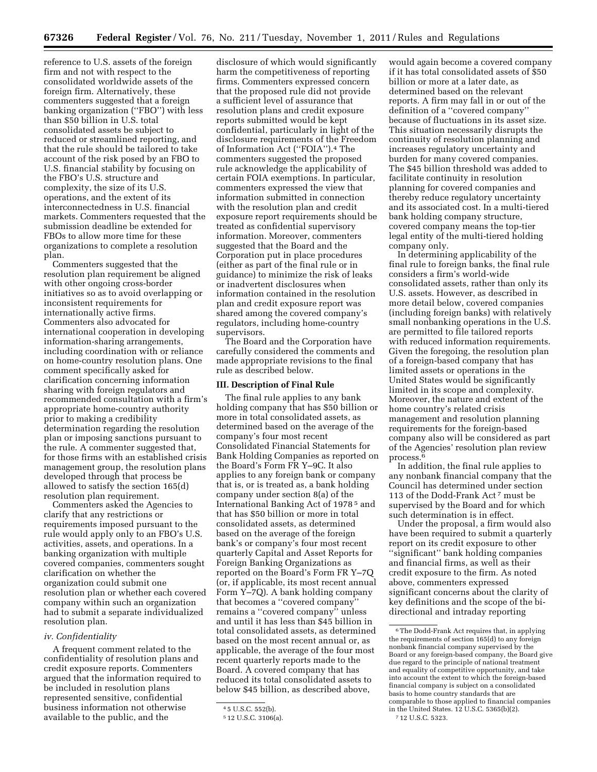reference to U.S. assets of the foreign firm and not with respect to the consolidated worldwide assets of the foreign firm. Alternatively, these commenters suggested that a foreign banking organization (''FBO'') with less than \$50 billion in U.S. total consolidated assets be subject to reduced or streamlined reporting, and that the rule should be tailored to take account of the risk posed by an FBO to U.S. financial stability by focusing on the FBO's U.S. structure and complexity, the size of its U.S. operations, and the extent of its interconnectedness in U.S. financial markets. Commenters requested that the submission deadline be extended for FBOs to allow more time for these organizations to complete a resolution plan.

Commenters suggested that the resolution plan requirement be aligned with other ongoing cross-border initiatives so as to avoid overlapping or inconsistent requirements for internationally active firms. Commenters also advocated for international cooperation in developing information-sharing arrangements, including coordination with or reliance on home-country resolution plans. One comment specifically asked for clarification concerning information sharing with foreign regulators and recommended consultation with a firm's appropriate home-country authority prior to making a credibility determination regarding the resolution plan or imposing sanctions pursuant to the rule. A commenter suggested that, for those firms with an established crisis management group, the resolution plans developed through that process be allowed to satisfy the section 165(d) resolution plan requirement.

Commenters asked the Agencies to clarify that any restrictions or requirements imposed pursuant to the rule would apply only to an FBO's U.S. activities, assets, and operations. In a banking organization with multiple covered companies, commenters sought clarification on whether the organization could submit one resolution plan or whether each covered company within such an organization had to submit a separate individualized resolution plan.

## *iv. Confidentiality*

A frequent comment related to the confidentiality of resolution plans and credit exposure reports. Commenters argued that the information required to be included in resolution plans represented sensitive, confidential business information not otherwise available to the public, and the

disclosure of which would significantly harm the competitiveness of reporting firms. Commenters expressed concern that the proposed rule did not provide a sufficient level of assurance that resolution plans and credit exposure reports submitted would be kept confidential, particularly in light of the disclosure requirements of the Freedom of Information Act (''FOIA'').4 The commenters suggested the proposed rule acknowledge the applicability of certain FOIA exemptions. In particular, commenters expressed the view that information submitted in connection with the resolution plan and credit exposure report requirements should be treated as confidential supervisory information. Moreover, commenters suggested that the Board and the Corporation put in place procedures (either as part of the final rule or in guidance) to minimize the risk of leaks or inadvertent disclosures when information contained in the resolution plan and credit exposure report was shared among the covered company's regulators, including home-country supervisors.

The Board and the Corporation have carefully considered the comments and made appropriate revisions to the final rule as described below.

### **III. Description of Final Rule**

The final rule applies to any bank holding company that has \$50 billion or more in total consolidated assets, as determined based on the average of the company's four most recent Consolidated Financial Statements for Bank Holding Companies as reported on the Board's Form FR Y–9C. It also applies to any foreign bank or company that is, or is treated as, a bank holding company under section 8(a) of the International Banking Act of 1978 5 and that has \$50 billion or more in total consolidated assets, as determined based on the average of the foreign bank's or company's four most recent quarterly Capital and Asset Reports for Foreign Banking Organizations as reported on the Board's Form FR Y–7Q (or, if applicable, its most recent annual Form Y–7Q). A bank holding company that becomes a ''covered company'' remains a ''covered company'' unless and until it has less than \$45 billion in total consolidated assets, as determined based on the most recent annual or, as applicable, the average of the four most recent quarterly reports made to the Board. A covered company that has reduced its total consolidated assets to below \$45 billion, as described above,

would again become a covered company if it has total consolidated assets of \$50 billion or more at a later date, as determined based on the relevant reports. A firm may fall in or out of the definition of a ''covered company'' because of fluctuations in its asset size. This situation necessarily disrupts the continuity of resolution planning and increases regulatory uncertainty and burden for many covered companies. The \$45 billion threshold was added to facilitate continuity in resolution planning for covered companies and thereby reduce regulatory uncertainty and its associated cost. In a multi-tiered bank holding company structure, covered company means the top-tier legal entity of the multi-tiered holding company only.

In determining applicability of the final rule to foreign banks, the final rule considers a firm's world-wide consolidated assets, rather than only its U.S. assets. However, as described in more detail below, covered companies (including foreign banks) with relatively small nonbanking operations in the U.S. are permitted to file tailored reports with reduced information requirements. Given the foregoing, the resolution plan of a foreign-based company that has limited assets or operations in the United States would be significantly limited in its scope and complexity. Moreover, the nature and extent of the home country's related crisis management and resolution planning requirements for the foreign-based company also will be considered as part of the Agencies' resolution plan review process.6

In addition, the final rule applies to any nonbank financial company that the Council has determined under section 113 of the Dodd-Frank Act 7 must be supervised by the Board and for which such determination is in effect.

Under the proposal, a firm would also have been required to submit a quarterly report on its credit exposure to other ''significant'' bank holding companies and financial firms, as well as their credit exposure to the firm. As noted above, commenters expressed significant concerns about the clarity of key definitions and the scope of the bidirectional and intraday reporting

<sup>4</sup> 5 U.S.C. 552(b).

<sup>5</sup> 12 U.S.C. 3106(a).

<sup>6</sup>The Dodd-Frank Act requires that, in applying the requirements of section 165(d) to any foreign nonbank financial company supervised by the Board or any foreign-based company, the Board give due regard to the principle of national treatment and equality of competitive opportunity, and take into account the extent to which the foreign-based financial company is subject on a consolidated basis to home country standards that are comparable to those applied to financial companies in the United States. 12 U.S.C. 5365(b)(2). 7 12 U.S.C. 5323.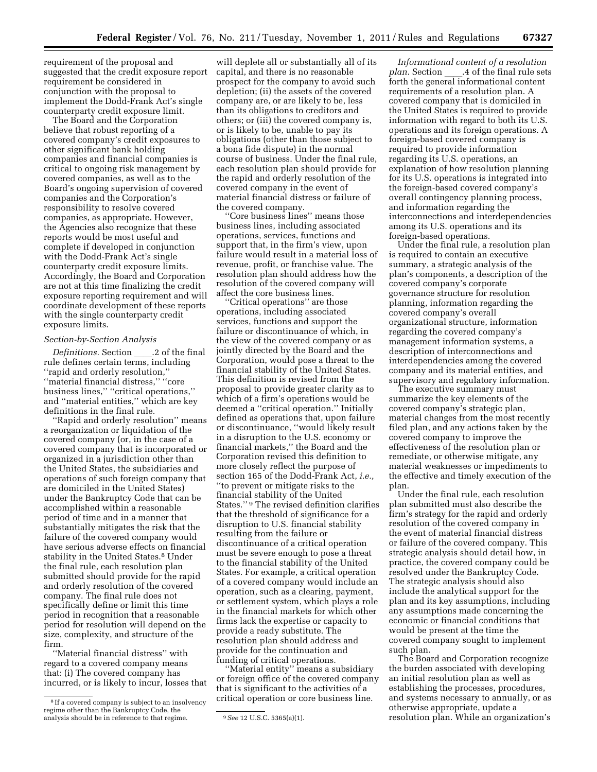requirement of the proposal and suggested that the credit exposure report requirement be considered in conjunction with the proposal to implement the Dodd-Frank Act's single counterparty credit exposure limit.

The Board and the Corporation believe that robust reporting of a covered company's credit exposures to other significant bank holding companies and financial companies is critical to ongoing risk management by covered companies, as well as to the Board's ongoing supervision of covered companies and the Corporation's responsibility to resolve covered companies, as appropriate. However, the Agencies also recognize that these reports would be most useful and complete if developed in conjunction with the Dodd-Frank Act's single counterparty credit exposure limits. Accordingly, the Board and Corporation are not at this time finalizing the credit exposure reporting requirement and will coordinate development of these reports with the single counterparty credit exposure limits.

### *Section-by-Section Analysis*

*Definitions.* Section \_\_\_\_.2 of the final<br>rule defines certain terms, including ''rapid and orderly resolution,'' ''material financial distress,'' ''core business lines," "critical operations," and ''material entities,'' which are key definitions in the final rule.

''Rapid and orderly resolution'' means a reorganization or liquidation of the covered company (or, in the case of a covered company that is incorporated or organized in a jurisdiction other than the United States, the subsidiaries and operations of such foreign company that are domiciled in the United States) under the Bankruptcy Code that can be accomplished within a reasonable period of time and in a manner that substantially mitigates the risk that the failure of the covered company would have serious adverse effects on financial stability in the United States.<sup>8</sup> Under the final rule, each resolution plan submitted should provide for the rapid and orderly resolution of the covered company. The final rule does not specifically define or limit this time period in recognition that a reasonable period for resolution will depend on the size, complexity, and structure of the firm.

''Material financial distress'' with regard to a covered company means that: (i) The covered company has incurred, or is likely to incur, losses that

will deplete all or substantially all of its capital, and there is no reasonable prospect for the company to avoid such depletion; (ii) the assets of the covered company are, or are likely to be, less than its obligations to creditors and others; or (iii) the covered company is, or is likely to be, unable to pay its obligations (other than those subject to a bona fide dispute) in the normal course of business. Under the final rule, each resolution plan should provide for the rapid and orderly resolution of the covered company in the event of material financial distress or failure of the covered company.

''Core business lines'' means those business lines, including associated operations, services, functions and support that, in the firm's view, upon failure would result in a material loss of revenue, profit, or franchise value. The resolution plan should address how the resolution of the covered company will affect the core business lines.

'Critical operations'' are those operations, including associated services, functions and support the failure or discontinuance of which, in the view of the covered company or as jointly directed by the Board and the Corporation, would pose a threat to the financial stability of the United States. This definition is revised from the proposal to provide greater clarity as to which of a firm's operations would be deemed a ''critical operation.'' Initially defined as operations that, upon failure or discontinuance, ''would likely result in a disruption to the U.S. economy or financial markets,'' the Board and the Corporation revised this definition to more closely reflect the purpose of section 165 of the Dodd-Frank Act, *i.e.,*  ''to prevent or mitigate risks to the financial stability of the United States.'' 9 The revised definition clarifies that the threshold of significance for a disruption to U.S. financial stability resulting from the failure or discontinuance of a critical operation must be severe enough to pose a threat to the financial stability of the United States. For example, a critical operation of a covered company would include an operation, such as a clearing, payment, or settlement system, which plays a role in the financial markets for which other firms lack the expertise or capacity to provide a ready substitute. The resolution plan should address and provide for the continuation and funding of critical operations.

''Material entity'' means a subsidiary or foreign office of the covered company that is significant to the activities of a critical operation or core business line.

*Informational content of a resolution plan.* Section \_\_\_\_.4 of the final rule sets<br>forth the general informational content requirements of a resolution plan. A covered company that is domiciled in the United States is required to provide information with regard to both its U.S. operations and its foreign operations. A foreign-based covered company is required to provide information regarding its U.S. operations, an explanation of how resolution planning for its U.S. operations is integrated into the foreign-based covered company's overall contingency planning process, and information regarding the interconnections and interdependencies among its U.S. operations and its foreign-based operations.

Under the final rule, a resolution plan is required to contain an executive summary, a strategic analysis of the plan's components, a description of the covered company's corporate governance structure for resolution planning, information regarding the covered company's overall organizational structure, information regarding the covered company's management information systems, a description of interconnections and interdependencies among the covered company and its material entities, and supervisory and regulatory information.

The executive summary must summarize the key elements of the covered company's strategic plan, material changes from the most recently filed plan, and any actions taken by the covered company to improve the effectiveness of the resolution plan or remediate, or otherwise mitigate, any material weaknesses or impediments to the effective and timely execution of the plan.

Under the final rule, each resolution plan submitted must also describe the firm's strategy for the rapid and orderly resolution of the covered company in the event of material financial distress or failure of the covered company. This strategic analysis should detail how, in practice, the covered company could be resolved under the Bankruptcy Code. The strategic analysis should also include the analytical support for the plan and its key assumptions, including any assumptions made concerning the economic or financial conditions that would be present at the time the covered company sought to implement such plan.

The Board and Corporation recognize the burden associated with developing an initial resolution plan as well as establishing the processes, procedures, and systems necessary to annually, or as otherwise appropriate, update a resolution plan. While an organization's

<sup>&</sup>lt;sup>8</sup> If a covered company is subject to an insolvency regime other than the Bankruptcy Code, the analysis should be in reference to that regime. 9 See 12 U.S.C. 5365(a)(1).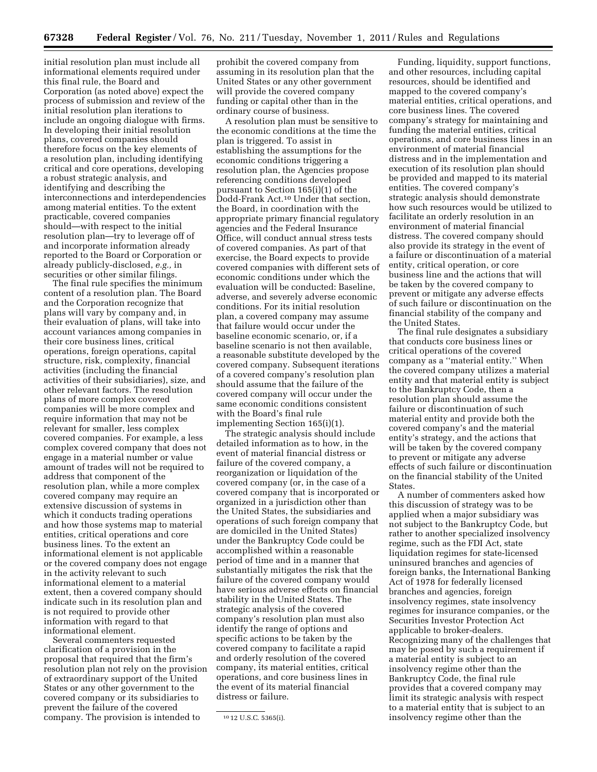initial resolution plan must include all informational elements required under this final rule, the Board and Corporation (as noted above) expect the process of submission and review of the initial resolution plan iterations to include an ongoing dialogue with firms. In developing their initial resolution plans, covered companies should therefore focus on the key elements of a resolution plan, including identifying critical and core operations, developing a robust strategic analysis, and identifying and describing the interconnections and interdependencies among material entities. To the extent practicable, covered companies should—with respect to the initial resolution plan—try to leverage off of and incorporate information already reported to the Board or Corporation or already publicly-disclosed, *e.g.,* in securities or other similar filings.

The final rule specifies the minimum content of a resolution plan. The Board and the Corporation recognize that plans will vary by company and, in their evaluation of plans, will take into account variances among companies in their core business lines, critical operations, foreign operations, capital structure, risk, complexity, financial activities (including the financial activities of their subsidiaries), size, and other relevant factors. The resolution plans of more complex covered companies will be more complex and require information that may not be relevant for smaller, less complex covered companies. For example, a less complex covered company that does not engage in a material number or value amount of trades will not be required to address that component of the resolution plan, while a more complex covered company may require an extensive discussion of systems in which it conducts trading operations and how those systems map to material entities, critical operations and core business lines. To the extent an informational element is not applicable or the covered company does not engage in the activity relevant to such informational element to a material extent, then a covered company should indicate such in its resolution plan and is not required to provide other information with regard to that informational element.

Several commenters requested clarification of a provision in the proposal that required that the firm's resolution plan not rely on the provision of extraordinary support of the United States or any other government to the covered company or its subsidiaries to prevent the failure of the covered company. The provision is intended to

prohibit the covered company from assuming in its resolution plan that the United States or any other government will provide the covered company funding or capital other than in the ordinary course of business.

A resolution plan must be sensitive to the economic conditions at the time the plan is triggered. To assist in establishing the assumptions for the economic conditions triggering a resolution plan, the Agencies propose referencing conditions developed pursuant to Section 165(i)(1) of the Dodd-Frank Act.10 Under that section, the Board, in coordination with the appropriate primary financial regulatory agencies and the Federal Insurance Office, will conduct annual stress tests of covered companies. As part of that exercise, the Board expects to provide covered companies with different sets of economic conditions under which the evaluation will be conducted: Baseline, adverse, and severely adverse economic conditions. For its initial resolution plan, a covered company may assume that failure would occur under the baseline economic scenario, or, if a baseline scenario is not then available, a reasonable substitute developed by the covered company. Subsequent iterations of a covered company's resolution plan should assume that the failure of the covered company will occur under the same economic conditions consistent with the Board's final rule implementing Section 165(i)(1).

The strategic analysis should include detailed information as to how, in the event of material financial distress or failure of the covered company, a reorganization or liquidation of the covered company (or, in the case of a covered company that is incorporated or organized in a jurisdiction other than the United States, the subsidiaries and operations of such foreign company that are domiciled in the United States) under the Bankruptcy Code could be accomplished within a reasonable period of time and in a manner that substantially mitigates the risk that the failure of the covered company would have serious adverse effects on financial stability in the United States. The strategic analysis of the covered company's resolution plan must also identify the range of options and specific actions to be taken by the covered company to facilitate a rapid and orderly resolution of the covered company, its material entities, critical operations, and core business lines in the event of its material financial distress or failure.

Funding, liquidity, support functions, and other resources, including capital resources, should be identified and mapped to the covered company's material entities, critical operations, and core business lines. The covered company's strategy for maintaining and funding the material entities, critical operations, and core business lines in an environment of material financial distress and in the implementation and execution of its resolution plan should be provided and mapped to its material entities. The covered company's strategic analysis should demonstrate how such resources would be utilized to facilitate an orderly resolution in an environment of material financial distress. The covered company should also provide its strategy in the event of a failure or discontinuation of a material entity, critical operation, or core business line and the actions that will be taken by the covered company to prevent or mitigate any adverse effects of such failure or discontinuation on the financial stability of the company and the United States.

The final rule designates a subsidiary that conducts core business lines or critical operations of the covered company as a ''material entity.'' When the covered company utilizes a material entity and that material entity is subject to the Bankruptcy Code, then a resolution plan should assume the failure or discontinuation of such material entity and provide both the covered company's and the material entity's strategy, and the actions that will be taken by the covered company to prevent or mitigate any adverse effects of such failure or discontinuation on the financial stability of the United States.

A number of commenters asked how this discussion of strategy was to be applied when a major subsidiary was not subject to the Bankruptcy Code, but rather to another specialized insolvency regime, such as the FDI Act, state liquidation regimes for state-licensed uninsured branches and agencies of foreign banks, the International Banking Act of 1978 for federally licensed branches and agencies, foreign insolvency regimes, state insolvency regimes for insurance companies, or the Securities Investor Protection Act applicable to broker-dealers. Recognizing many of the challenges that may be posed by such a requirement if a material entity is subject to an insolvency regime other than the Bankruptcy Code, the final rule provides that a covered company may limit its strategic analysis with respect to a material entity that is subject to an insolvency regime other than the

<sup>10</sup> 12 U.S.C. 5365(i).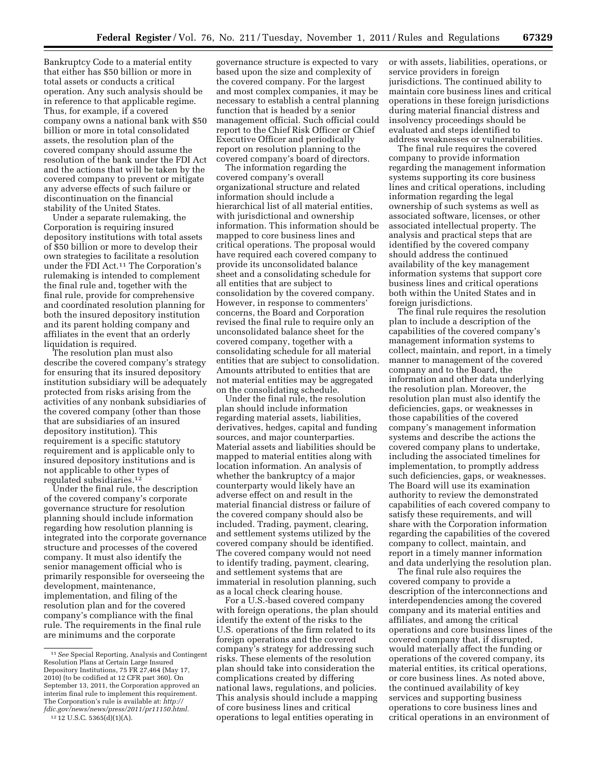Bankruptcy Code to a material entity that either has \$50 billion or more in total assets or conducts a critical operation. Any such analysis should be in reference to that applicable regime. Thus, for example, if a covered company owns a national bank with \$50 billion or more in total consolidated assets, the resolution plan of the covered company should assume the resolution of the bank under the FDI Act and the actions that will be taken by the covered company to prevent or mitigate any adverse effects of such failure or discontinuation on the financial stability of the United States.

Under a separate rulemaking, the Corporation is requiring insured depository institutions with total assets of \$50 billion or more to develop their own strategies to facilitate a resolution under the FDI Act.11 The Corporation's rulemaking is intended to complement the final rule and, together with the final rule, provide for comprehensive and coordinated resolution planning for both the insured depository institution and its parent holding company and affiliates in the event that an orderly liquidation is required.

The resolution plan must also describe the covered company's strategy for ensuring that its insured depository institution subsidiary will be adequately protected from risks arising from the activities of any nonbank subsidiaries of the covered company (other than those that are subsidiaries of an insured depository institution). This requirement is a specific statutory requirement and is applicable only to insured depository institutions and is not applicable to other types of regulated subsidiaries.12

Under the final rule, the description of the covered company's corporate governance structure for resolution planning should include information regarding how resolution planning is integrated into the corporate governance structure and processes of the covered company. It must also identify the senior management official who is primarily responsible for overseeing the development, maintenance, implementation, and filing of the resolution plan and for the covered company's compliance with the final rule. The requirements in the final rule are minimums and the corporate

governance structure is expected to vary based upon the size and complexity of the covered company. For the largest and most complex companies, it may be necessary to establish a central planning function that is headed by a senior management official. Such official could report to the Chief Risk Officer or Chief Executive Officer and periodically report on resolution planning to the covered company's board of directors.

The information regarding the covered company's overall organizational structure and related information should include a hierarchical list of all material entities, with jurisdictional and ownership information. This information should be mapped to core business lines and critical operations. The proposal would have required each covered company to provide its unconsolidated balance sheet and a consolidating schedule for all entities that are subject to consolidation by the covered company. However, in response to commenters' concerns, the Board and Corporation revised the final rule to require only an unconsolidated balance sheet for the covered company, together with a consolidating schedule for all material entities that are subject to consolidation. Amounts attributed to entities that are not material entities may be aggregated on the consolidating schedule.

Under the final rule, the resolution plan should include information regarding material assets, liabilities, derivatives, hedges, capital and funding sources, and major counterparties. Material assets and liabilities should be mapped to material entities along with location information. An analysis of whether the bankruptcy of a major counterparty would likely have an adverse effect on and result in the material financial distress or failure of the covered company should also be included. Trading, payment, clearing, and settlement systems utilized by the covered company should be identified. The covered company would not need to identify trading, payment, clearing, and settlement systems that are immaterial in resolution planning, such as a local check clearing house.

For a U.S.-based covered company with foreign operations, the plan should identify the extent of the risks to the U.S. operations of the firm related to its foreign operations and the covered company's strategy for addressing such risks. These elements of the resolution plan should take into consideration the complications created by differing national laws, regulations, and policies. This analysis should include a mapping of core business lines and critical operations to legal entities operating in

or with assets, liabilities, operations, or service providers in foreign jurisdictions. The continued ability to maintain core business lines and critical operations in these foreign jurisdictions during material financial distress and insolvency proceedings should be evaluated and steps identified to address weaknesses or vulnerabilities.

The final rule requires the covered company to provide information regarding the management information systems supporting its core business lines and critical operations, including information regarding the legal ownership of such systems as well as associated software, licenses, or other associated intellectual property. The analysis and practical steps that are identified by the covered company should address the continued availability of the key management information systems that support core business lines and critical operations both within the United States and in foreign jurisdictions.

The final rule requires the resolution plan to include a description of the capabilities of the covered company's management information systems to collect, maintain, and report, in a timely manner to management of the covered company and to the Board, the information and other data underlying the resolution plan. Moreover, the resolution plan must also identify the deficiencies, gaps, or weaknesses in those capabilities of the covered company's management information systems and describe the actions the covered company plans to undertake, including the associated timelines for implementation, to promptly address such deficiencies, gaps, or weaknesses. The Board will use its examination authority to review the demonstrated capabilities of each covered company to satisfy these requirements, and will share with the Corporation information regarding the capabilities of the covered company to collect, maintain, and report in a timely manner information and data underlying the resolution plan.

The final rule also requires the covered company to provide a description of the interconnections and interdependencies among the covered company and its material entities and affiliates, and among the critical operations and core business lines of the covered company that, if disrupted, would materially affect the funding or operations of the covered company, its material entities, its critical operations, or core business lines. As noted above, the continued availability of key services and supporting business operations to core business lines and critical operations in an environment of

<sup>11</sup>*See* Special Reporting, Analysis and Contingent Resolution Plans at Certain Large Insured Depository Institutions, 75 FR 27,464 (May 17, 2010) (to be codified at 12 CFR part 360). On September 13, 2011, the Corporation approved an interim final rule to implement this requirement. The Corporation's rule is available at: *[http://](http://fdic.gov/news/news/press/2011/pr11150.html)  [fdic.gov/news/news/press/2011/pr11150.html.](http://fdic.gov/news/news/press/2011/pr11150.html)* 

<sup>12</sup> 12 U.S.C. 5365(d)(1)(A).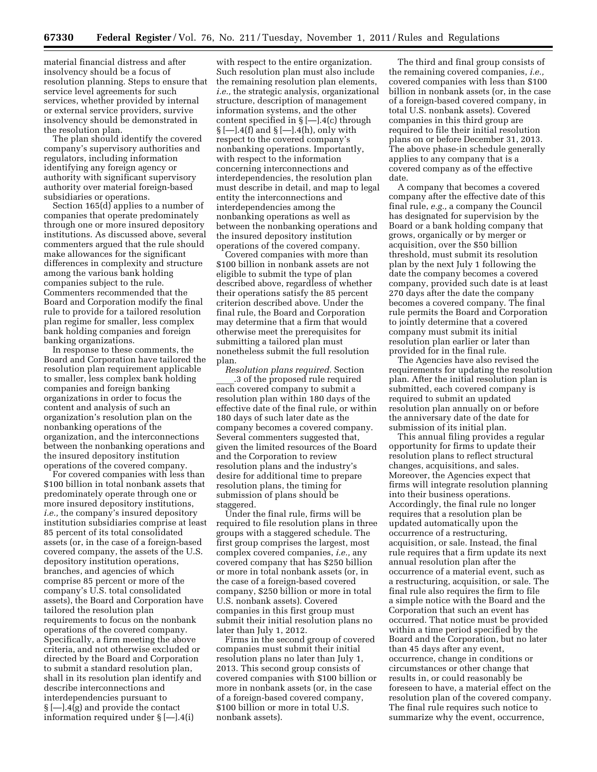material financial distress and after insolvency should be a focus of resolution planning. Steps to ensure that service level agreements for such services, whether provided by internal or external service providers, survive insolvency should be demonstrated in the resolution plan.

The plan should identify the covered company's supervisory authorities and regulators, including information identifying any foreign agency or authority with significant supervisory authority over material foreign-based subsidiaries or operations.

Section 165(d) applies to a number of companies that operate predominately through one or more insured depository institutions. As discussed above, several commenters argued that the rule should make allowances for the significant differences in complexity and structure among the various bank holding companies subject to the rule. Commenters recommended that the Board and Corporation modify the final rule to provide for a tailored resolution plan regime for smaller, less complex bank holding companies and foreign banking organizations.

In response to these comments, the Board and Corporation have tailored the resolution plan requirement applicable to smaller, less complex bank holding companies and foreign banking organizations in order to focus the content and analysis of such an organization's resolution plan on the nonbanking operations of the organization, and the interconnections between the nonbanking operations and the insured depository institution operations of the covered company.

For covered companies with less than \$100 billion in total nonbank assets that predominately operate through one or more insured depository institutions, *i.e.,* the company's insured depository institution subsidiaries comprise at least 85 percent of its total consolidated assets (or, in the case of a foreign-based covered company, the assets of the U.S. depository institution operations, branches, and agencies of which comprise 85 percent or more of the company's U.S. total consolidated assets), the Board and Corporation have tailored the resolution plan requirements to focus on the nonbank operations of the covered company. Specifically, a firm meeting the above criteria, and not otherwise excluded or directed by the Board and Corporation to submit a standard resolution plan, shall in its resolution plan identify and describe interconnections and interdependencies pursuant to § [—].4(g) and provide the contact information required under § [—].4(i)

with respect to the entire organization. Such resolution plan must also include the remaining resolution plan elements, *i.e.,* the strategic analysis, organizational structure, description of management information systems, and the other content specified in § [—].4(c) through  $\S$   $[-]$ .4(f) and  $\S$   $[-]$ .4(h), only with respect to the covered company's nonbanking operations. Importantly, with respect to the information concerning interconnections and interdependencies, the resolution plan must describe in detail, and map to legal entity the interconnections and interdependencies among the nonbanking operations as well as between the nonbanking operations and the insured depository institution operations of the covered company.

Covered companies with more than \$100 billion in nonbank assets are not eligible to submit the type of plan described above, regardless of whether their operations satisfy the 85 percent criterion described above. Under the final rule, the Board and Corporation may determine that a firm that would otherwise meet the prerequisites for submitting a tailored plan must nonetheless submit the full resolution plan.

*Resolution plans required.* Section \_\_\_\_.3 of the proposed rule required each covered company to submit a resolution plan within 180 days of the effective date of the final rule, or within 180 days of such later date as the company becomes a covered company. Several commenters suggested that, given the limited resources of the Board and the Corporation to review resolution plans and the industry's desire for additional time to prepare resolution plans, the timing for submission of plans should be staggered.

Under the final rule, firms will be required to file resolution plans in three groups with a staggered schedule. The first group comprises the largest, most complex covered companies, *i.e.,* any covered company that has \$250 billion or more in total nonbank assets (or, in the case of a foreign-based covered company, \$250 billion or more in total U.S. nonbank assets). Covered companies in this first group must submit their initial resolution plans no later than July 1, 2012.

Firms in the second group of covered companies must submit their initial resolution plans no later than July 1, 2013. This second group consists of covered companies with \$100 billion or more in nonbank assets (or, in the case of a foreign-based covered company, \$100 billion or more in total U.S. nonbank assets).

The third and final group consists of the remaining covered companies, *i.e.,*  covered companies with less than \$100 billion in nonbank assets (or, in the case of a foreign-based covered company, in total U.S. nonbank assets). Covered companies in this third group are required to file their initial resolution plans on or before December 31, 2013. The above phase-in schedule generally applies to any company that is a covered company as of the effective date.

A company that becomes a covered company after the effective date of this final rule, *e.g.,* a company the Council has designated for supervision by the Board or a bank holding company that grows, organically or by merger or acquisition, over the \$50 billion threshold, must submit its resolution plan by the next July 1 following the date the company becomes a covered company, provided such date is at least 270 days after the date the company becomes a covered company. The final rule permits the Board and Corporation to jointly determine that a covered company must submit its initial resolution plan earlier or later than provided for in the final rule.

The Agencies have also revised the requirements for updating the resolution plan. After the initial resolution plan is submitted, each covered company is required to submit an updated resolution plan annually on or before the anniversary date of the date for submission of its initial plan.

This annual filing provides a regular opportunity for firms to update their resolution plans to reflect structural changes, acquisitions, and sales. Moreover, the Agencies expect that firms will integrate resolution planning into their business operations. Accordingly, the final rule no longer requires that a resolution plan be updated automatically upon the occurrence of a restructuring, acquisition, or sale. Instead, the final rule requires that a firm update its next annual resolution plan after the occurrence of a material event, such as a restructuring, acquisition, or sale. The final rule also requires the firm to file a simple notice with the Board and the Corporation that such an event has occurred. That notice must be provided within a time period specified by the Board and the Corporation, but no later than 45 days after any event, occurrence, change in conditions or circumstances or other change that results in, or could reasonably be foreseen to have, a material effect on the resolution plan of the covered company. The final rule requires such notice to summarize why the event, occurrence,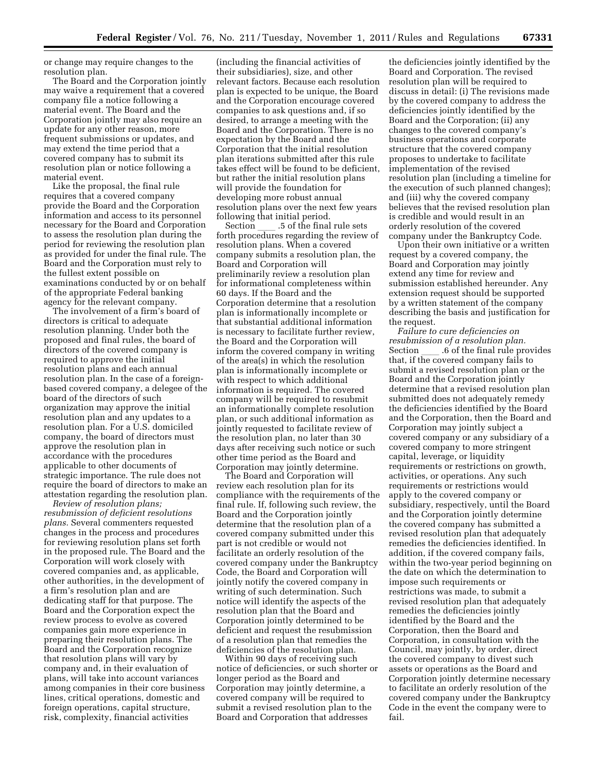or change may require changes to the resolution plan.

The Board and the Corporation jointly may waive a requirement that a covered company file a notice following a material event. The Board and the Corporation jointly may also require an update for any other reason, more frequent submissions or updates, and may extend the time period that a covered company has to submit its resolution plan or notice following a material event.

Like the proposal, the final rule requires that a covered company provide the Board and the Corporation information and access to its personnel necessary for the Board and Corporation to assess the resolution plan during the period for reviewing the resolution plan as provided for under the final rule. The Board and the Corporation must rely to the fullest extent possible on examinations conducted by or on behalf of the appropriate Federal banking agency for the relevant company.

The involvement of a firm's board of directors is critical to adequate resolution planning. Under both the proposed and final rules, the board of directors of the covered company is required to approve the initial resolution plans and each annual resolution plan. In the case of a foreignbased covered company, a delegee of the board of the directors of such organization may approve the initial resolution plan and any updates to a resolution plan. For a U.S. domiciled company, the board of directors must approve the resolution plan in accordance with the procedures applicable to other documents of strategic importance. The rule does not require the board of directors to make an attestation regarding the resolution plan.

*Review of resolution plans; resubmission of deficient resolutions plans.* Several commenters requested changes in the process and procedures for reviewing resolution plans set forth in the proposed rule. The Board and the Corporation will work closely with covered companies and, as applicable, other authorities, in the development of a firm's resolution plan and are dedicating staff for that purpose. The Board and the Corporation expect the review process to evolve as covered companies gain more experience in preparing their resolution plans. The Board and the Corporation recognize that resolution plans will vary by company and, in their evaluation of plans, will take into account variances among companies in their core business lines, critical operations, domestic and foreign operations, capital structure, risk, complexity, financial activities

(including the financial activities of their subsidiaries), size, and other relevant factors. Because each resolution plan is expected to be unique, the Board and the Corporation encourage covered companies to ask questions and, if so desired, to arrange a meeting with the Board and the Corporation. There is no expectation by the Board and the Corporation that the initial resolution plan iterations submitted after this rule takes effect will be found to be deficient, but rather the initial resolution plans will provide the foundation for developing more robust annual resolution plans over the next few years

following that initial period.<br>Section 5 of the final rule sets Section ll .5 of the final rule sets forth procedures regarding the review of resolution plans. When a covered company submits a resolution plan, the Board and Corporation will preliminarily review a resolution plan for informational completeness within 60 days. If the Board and the Corporation determine that a resolution plan is informationally incomplete or that substantial additional information is necessary to facilitate further review, the Board and the Corporation will inform the covered company in writing of the area(s) in which the resolution plan is informationally incomplete or with respect to which additional information is required. The covered company will be required to resubmit an informationally complete resolution plan, or such additional information as jointly requested to facilitate review of the resolution plan, no later than 30 days after receiving such notice or such other time period as the Board and Corporation may jointly determine.

The Board and Corporation will review each resolution plan for its compliance with the requirements of the final rule. If, following such review, the Board and the Corporation jointly determine that the resolution plan of a covered company submitted under this part is not credible or would not facilitate an orderly resolution of the covered company under the Bankruptcy Code, the Board and Corporation will jointly notify the covered company in writing of such determination. Such notice will identify the aspects of the resolution plan that the Board and Corporation jointly determined to be deficient and request the resubmission of a resolution plan that remedies the deficiencies of the resolution plan.

Within 90 days of receiving such notice of deficiencies, or such shorter or longer period as the Board and Corporation may jointly determine, a covered company will be required to submit a revised resolution plan to the Board and Corporation that addresses

the deficiencies jointly identified by the Board and Corporation. The revised resolution plan will be required to discuss in detail: (i) The revisions made by the covered company to address the deficiencies jointly identified by the Board and the Corporation; (ii) any changes to the covered company's business operations and corporate structure that the covered company proposes to undertake to facilitate implementation of the revised resolution plan (including a timeline for the execution of such planned changes); and (iii) why the covered company believes that the revised resolution plan is credible and would result in an orderly resolution of the covered company under the Bankruptcy Code.

Upon their own initiative or a written request by a covered company, the Board and Corporation may jointly extend any time for review and submission established hereunder. Any extension request should be supported by a written statement of the company describing the basis and justification for the request.

*Failure to cure deficiencies on resubmission of a resolution plan.*  Section \_\_\_\_\_.6 of the final rule provides<br>that, if the covered company fails to submit a revised resolution plan or the Board and the Corporation jointly determine that a revised resolution plan submitted does not adequately remedy the deficiencies identified by the Board and the Corporation, then the Board and Corporation may jointly subject a covered company or any subsidiary of a covered company to more stringent capital, leverage, or liquidity requirements or restrictions on growth, activities, or operations. Any such requirements or restrictions would apply to the covered company or subsidiary, respectively, until the Board and the Corporation jointly determine the covered company has submitted a revised resolution plan that adequately remedies the deficiencies identified. In addition, if the covered company fails, within the two-year period beginning on the date on which the determination to impose such requirements or restrictions was made, to submit a revised resolution plan that adequately remedies the deficiencies jointly identified by the Board and the Corporation, then the Board and Corporation, in consultation with the Council, may jointly, by order, direct the covered company to divest such assets or operations as the Board and Corporation jointly determine necessary to facilitate an orderly resolution of the covered company under the Bankruptcy Code in the event the company were to fail.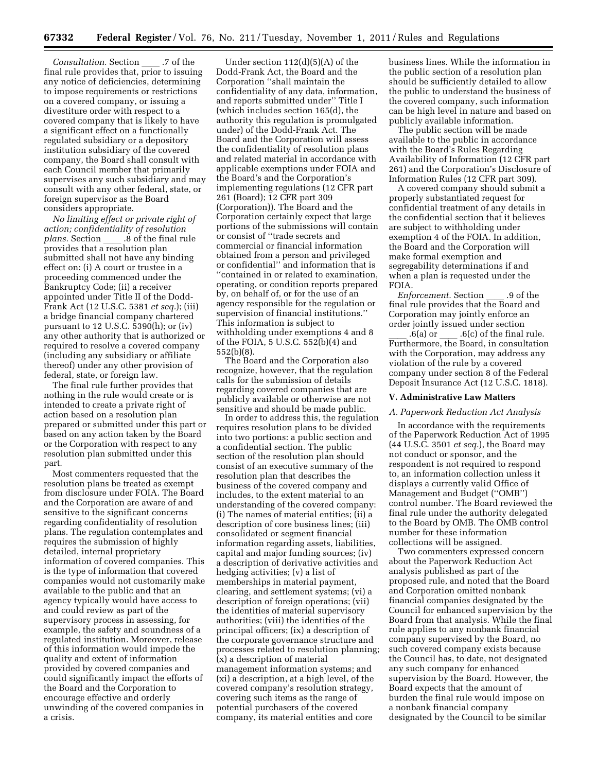*Consultation.* Section \_\_\_\_\_.7 of the final rule provides that, prior to issuing any notice of deficiencies, determining to impose requirements or restrictions on a covered company, or issuing a divestiture order with respect to a covered company that is likely to have a significant effect on a functionally regulated subsidiary or a depository institution subsidiary of the covered company, the Board shall consult with each Council member that primarily supervises any such subsidiary and may consult with any other federal, state, or foreign supervisor as the Board considers appropriate.

*No limiting effect or private right of action; confidentiality of resolution plans.* Section \_\_\_\_ .8 of the final rule<br>provides that a resolution plan submitted shall not have any binding effect on: (i) A court or trustee in a proceeding commenced under the Bankruptcy Code; (ii) a receiver appointed under Title II of the Dodd-Frank Act (12 U.S.C. 5381 *et seq.*); (iii) a bridge financial company chartered pursuant to 12 U.S.C. 5390(h); or (iv) any other authority that is authorized or required to resolve a covered company (including any subsidiary or affiliate thereof) under any other provision of federal, state, or foreign law.

The final rule further provides that nothing in the rule would create or is intended to create a private right of action based on a resolution plan prepared or submitted under this part or based on any action taken by the Board or the Corporation with respect to any resolution plan submitted under this part.

Most commenters requested that the resolution plans be treated as exempt from disclosure under FOIA. The Board and the Corporation are aware of and sensitive to the significant concerns regarding confidentiality of resolution plans. The regulation contemplates and requires the submission of highly detailed, internal proprietary information of covered companies. This is the type of information that covered companies would not customarily make available to the public and that an agency typically would have access to and could review as part of the supervisory process in assessing, for example, the safety and soundness of a regulated institution. Moreover, release of this information would impede the quality and extent of information provided by covered companies and could significantly impact the efforts of the Board and the Corporation to encourage effective and orderly unwinding of the covered companies in a crisis.

Under section 112(d)(5)(A) of the Dodd-Frank Act, the Board and the Corporation ''shall maintain the confidentiality of any data, information, and reports submitted under'' Title I (which includes section 165(d), the authority this regulation is promulgated under) of the Dodd-Frank Act. The Board and the Corporation will assess the confidentiality of resolution plans and related material in accordance with applicable exemptions under FOIA and the Board's and the Corporation's implementing regulations (12 CFR part 261 (Board); 12 CFR part 309 (Corporation)). The Board and the Corporation certainly expect that large portions of the submissions will contain or consist of ''trade secrets and commercial or financial information obtained from a person and privileged or confidential'' and information that is ''contained in or related to examination, operating, or condition reports prepared by, on behalf of, or for the use of an agency responsible for the regulation or supervision of financial institutions.'' This information is subject to withholding under exemptions 4 and 8 of the FOIA, 5 U.S.C. 552(b)(4) and 552(b)(8).

The Board and the Corporation also recognize, however, that the regulation calls for the submission of details regarding covered companies that are publicly available or otherwise are not sensitive and should be made public.

In order to address this, the regulation requires resolution plans to be divided into two portions: a public section and a confidential section. The public section of the resolution plan should consist of an executive summary of the resolution plan that describes the business of the covered company and includes, to the extent material to an understanding of the covered company: (i) The names of material entities; (ii) a description of core business lines; (iii) consolidated or segment financial information regarding assets, liabilities, capital and major funding sources; (iv) a description of derivative activities and hedging activities; (v) a list of memberships in material payment, clearing, and settlement systems; (vi) a description of foreign operations; (vii) the identities of material supervisory authorities; (viii) the identities of the principal officers; (ix) a description of the corporate governance structure and processes related to resolution planning; (x) a description of material management information systems; and (xi) a description, at a high level, of the covered company's resolution strategy, covering such items as the range of potential purchasers of the covered company, its material entities and core

business lines. While the information in the public section of a resolution plan should be sufficiently detailed to allow the public to understand the business of the covered company, such information can be high level in nature and based on publicly available information.

The public section will be made available to the public in accordance with the Board's Rules Regarding Availability of Information (12 CFR part 261) and the Corporation's Disclosure of Information Rules (12 CFR part 309).

A covered company should submit a properly substantiated request for confidential treatment of any details in the confidential section that it believes are subject to withholding under exemption 4 of the FOIA. In addition, the Board and the Corporation will make formal exemption and segregability determinations if and when a plan is requested under the FOIA.

*Enforcement.* Section \_\_\_\_ .9 of the final rule provides that the Board and Corporation may jointly enforce an order jointly issued under section

ll .6(a) or ll .6(c) of the final rule. Furthermore, the Board, in consultation with the Corporation, may address any violation of the rule by a covered company under section 8 of the Federal Deposit Insurance Act (12 U.S.C. 1818).

#### **V. Administrative Law Matters**

### *A. Paperwork Reduction Act Analysis*

In accordance with the requirements of the Paperwork Reduction Act of 1995 (44 U.S.C. 3501 *et seq.*), the Board may not conduct or sponsor, and the respondent is not required to respond to, an information collection unless it displays a currently valid Office of Management and Budget (''OMB'') control number. The Board reviewed the final rule under the authority delegated to the Board by OMB. The OMB control number for these information collections will be assigned.

Two commenters expressed concern about the Paperwork Reduction Act analysis published as part of the proposed rule, and noted that the Board and Corporation omitted nonbank financial companies designated by the Council for enhanced supervision by the Board from that analysis. While the final rule applies to any nonbank financial company supervised by the Board, no such covered company exists because the Council has, to date, not designated any such company for enhanced supervision by the Board. However, the Board expects that the amount of burden the final rule would impose on a nonbank financial company designated by the Council to be similar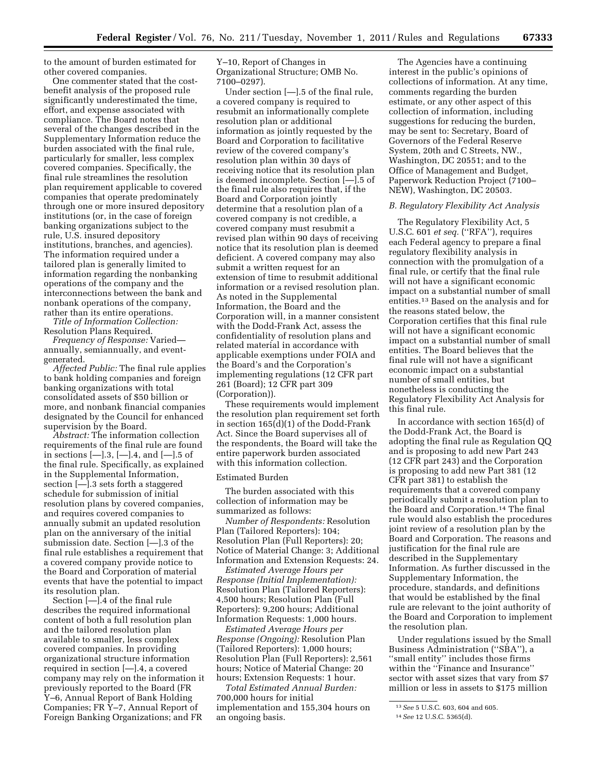to the amount of burden estimated for other covered companies.

One commenter stated that the costbenefit analysis of the proposed rule significantly underestimated the time, effort, and expense associated with compliance. The Board notes that several of the changes described in the Supplementary Information reduce the burden associated with the final rule, particularly for smaller, less complex covered companies. Specifically, the final rule streamlines the resolution plan requirement applicable to covered companies that operate predominately through one or more insured depository institutions (or, in the case of foreign banking organizations subject to the rule, U.S. insured depository institutions, branches, and agencies). The information required under a tailored plan is generally limited to information regarding the nonbanking operations of the company and the interconnections between the bank and nonbank operations of the company, rather than its entire operations.

*Title of Information Collection:*  Resolution Plans Required.

*Frequency of Response:* Varied annually, semiannually, and eventgenerated.

*Affected Public:* The final rule applies to bank holding companies and foreign banking organizations with total consolidated assets of \$50 billion or more, and nonbank financial companies designated by the Council for enhanced supervision by the Board.

*Abstract:* The information collection requirements of the final rule are found in sections  $[-].3, [-].4, and [-].5$  of the final rule. Specifically, as explained in the Supplemental Information, section [—].3 sets forth a staggered schedule for submission of initial resolution plans by covered companies, and requires covered companies to annually submit an updated resolution plan on the anniversary of the initial submission date. Section [—].3 of the final rule establishes a requirement that a covered company provide notice to the Board and Corporation of material events that have the potential to impact its resolution plan.

Section [—].4 of the final rule describes the required informational content of both a full resolution plan and the tailored resolution plan available to smaller, less complex covered companies. In providing organizational structure information required in section [—].4, a covered company may rely on the information it previously reported to the Board (FR Y–6, Annual Report of Bank Holding Companies; FR Y–7, Annual Report of Foreign Banking Organizations; and FR

Y–10, Report of Changes in Organizational Structure; OMB No. 7100–0297).

Under section [—].5 of the final rule, a covered company is required to resubmit an informationally complete resolution plan or additional information as jointly requested by the Board and Corporation to facilitative review of the covered company's resolution plan within 30 days of receiving notice that its resolution plan is deemed incomplete. Section [—].5 of the final rule also requires that, if the Board and Corporation jointly determine that a resolution plan of a covered company is not credible, a covered company must resubmit a revised plan within 90 days of receiving notice that its resolution plan is deemed deficient. A covered company may also submit a written request for an extension of time to resubmit additional information or a revised resolution plan. As noted in the Supplemental Information, the Board and the Corporation will, in a manner consistent with the Dodd-Frank Act, assess the confidentiality of resolution plans and related material in accordance with applicable exemptions under FOIA and the Board's and the Corporation's implementing regulations (12 CFR part 261 (Board); 12 CFR part 309 (Corporation)).

These requirements would implement the resolution plan requirement set forth in section 165(d)(1) of the Dodd-Frank Act. Since the Board supervises all of the respondents, the Board will take the entire paperwork burden associated with this information collection.

### Estimated Burden

The burden associated with this collection of information may be summarized as follows:

*Number of Respondents:* Resolution Plan (Tailored Reporters): 104; Resolution Plan (Full Reporters): 20; Notice of Material Change: 3; Additional Information and Extension Requests: 24.

*Estimated Average Hours per Response (Initial Implementation):*  Resolution Plan (Tailored Reporters): 4,500 hours; Resolution Plan (Full Reporters): 9,200 hours; Additional Information Requests: 1,000 hours.

*Estimated Average Hours per Response (Ongoing):* Resolution Plan (Tailored Reporters): 1,000 hours; Resolution Plan (Full Reporters): 2,561 hours; Notice of Material Change: 20 hours; Extension Requests: 1 hour.

*Total Estimated Annual Burden:*  700,000 hours for initial implementation and 155,304 hours on an ongoing basis.

The Agencies have a continuing interest in the public's opinions of collections of information. At any time, comments regarding the burden estimate, or any other aspect of this collection of information, including suggestions for reducing the burden, may be sent to: Secretary, Board of Governors of the Federal Reserve System, 20th and C Streets, NW., Washington, DC 20551; and to the Office of Management and Budget, Paperwork Reduction Project (7100– NEW), Washington, DC 20503.

### *B. Regulatory Flexibility Act Analysis*

The Regulatory Flexibility Act, 5 U.S.C. 601 *et seq.* (''RFA''), requires each Federal agency to prepare a final regulatory flexibility analysis in connection with the promulgation of a final rule, or certify that the final rule will not have a significant economic impact on a substantial number of small entities.13 Based on the analysis and for the reasons stated below, the Corporation certifies that this final rule will not have a significant economic impact on a substantial number of small entities. The Board believes that the final rule will not have a significant economic impact on a substantial number of small entities, but nonetheless is conducting the Regulatory Flexibility Act Analysis for this final rule.

In accordance with section 165(d) of the Dodd-Frank Act, the Board is adopting the final rule as Regulation QQ and is proposing to add new Part 243 (12 CFR part 243) and the Corporation is proposing to add new Part 381 (12 CFR part 381) to establish the requirements that a covered company periodically submit a resolution plan to the Board and Corporation.14 The final rule would also establish the procedures joint review of a resolution plan by the Board and Corporation. The reasons and justification for the final rule are described in the Supplementary Information. As further discussed in the Supplementary Information, the procedure, standards, and definitions that would be established by the final rule are relevant to the joint authority of the Board and Corporation to implement the resolution plan.

Under regulations issued by the Small Business Administration (''SBA''), a ''small entity'' includes those firms within the ''Finance and Insurance'' sector with asset sizes that vary from \$7 million or less in assets to \$175 million

<sup>13</sup>*See* 5 U.S.C. 603, 604 and 605.

<sup>14</sup>*See* 12 U.S.C. 5365(d).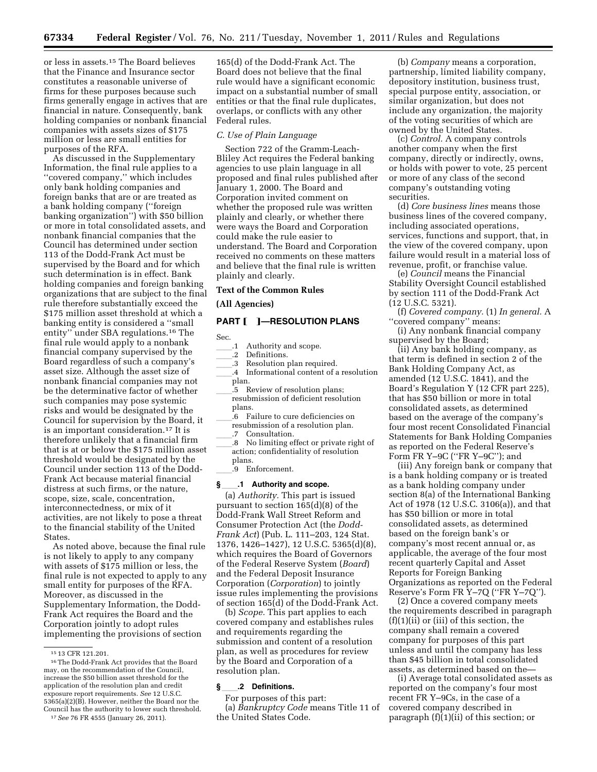or less in assets.15 The Board believes that the Finance and Insurance sector constitutes a reasonable universe of firms for these purposes because such firms generally engage in actives that are financial in nature. Consequently, bank holding companies or nonbank financial companies with assets sizes of \$175 million or less are small entities for purposes of the RFA.

As discussed in the Supplementary Information, the final rule applies to a ''covered company,'' which includes only bank holding companies and foreign banks that are or are treated as a bank holding company (''foreign banking organization'') with \$50 billion or more in total consolidated assets, and nonbank financial companies that the Council has determined under section 113 of the Dodd-Frank Act must be supervised by the Board and for which such determination is in effect. Bank holding companies and foreign banking organizations that are subject to the final rule therefore substantially exceed the \$175 million asset threshold at which a banking entity is considered a ''small entity'' under SBA regulations.16 The final rule would apply to a nonbank financial company supervised by the Board regardless of such a company's asset size. Although the asset size of nonbank financial companies may not be the determinative factor of whether such companies may pose systemic risks and would be designated by the Council for supervision by the Board, it is an important consideration.17 It is therefore unlikely that a financial firm that is at or below the \$175 million asset threshold would be designated by the Council under section 113 of the Dodd-Frank Act because material financial distress at such firms, or the nature, scope, size, scale, concentration, interconnectedness, or mix of it activities, are not likely to pose a threat to the financial stability of the United States.

As noted above, because the final rule is not likely to apply to any company with assets of \$175 million or less, the final rule is not expected to apply to any small entity for purposes of the RFA. Moreover, as discussed in the Supplementary Information, the Dodd-Frank Act requires the Board and the Corporation jointly to adopt rules implementing the provisions of section

165(d) of the Dodd-Frank Act. The Board does not believe that the final rule would have a significant economic impact on a substantial number of small entities or that the final rule duplicates, overlaps, or conflicts with any other Federal rules.

#### *C. Use of Plain Language*

Section 722 of the Gramm-Leach-Bliley Act requires the Federal banking agencies to use plain language in all proposed and final rules published after January 1, 2000. The Board and Corporation invited comment on whether the proposed rule was written plainly and clearly, or whether there were ways the Board and Corporation could make the rule easier to understand. The Board and Corporation received no comments on these matters and believe that the final rule is written plainly and clearly.

### **Text of the Common Rules**

**(All Agencies)** 

# **PART [ ]-RESOLUTION PLANS**

Sec.

- 1 Authority and scope.<br>1.2 Definitions.
- 2 Definitions.<br>3 Resolution r
- ll.3 Resolution plan required.
- ll.4 Informational content of a resolution plan.
- .5 Review of resolution plans; resubmission of deficient resolution plans.
- $\tilde{.}6$  Failure to cure deficiencies on resubmission of a resolution plan. .7 Consultation.
- .8 No limiting effect or private right of action; confidentiality of resolution plans.
	- ll.9 Enforcement.

#### **§**ll**.1 Authority and scope.**

(a) *Authority.* This part is issued pursuant to section 165(d)(8) of the Dodd-Frank Wall Street Reform and Consumer Protection Act (the *Dodd-Frank Act*) (Pub. L. 111–203, 124 Stat. 1376, 1426–1427), 12 U.S.C. 5365(d)(8), which requires the Board of Governors of the Federal Reserve System (*Board*) and the Federal Deposit Insurance Corporation (*Corporation*) to jointly issue rules implementing the provisions of section 165(d) of the Dodd-Frank Act.

(b) *Scope.* This part applies to each covered company and establishes rules and requirements regarding the submission and content of a resolution plan, as well as procedures for review by the Board and Corporation of a resolution plan.

### **§**ll**.2 Definitions.**

For purposes of this part: (a) *Bankruptcy Code* means Title 11 of the United States Code.

(b) *Company* means a corporation, partnership, limited liability company, depository institution, business trust, special purpose entity, association, or similar organization, but does not include any organization, the majority of the voting securities of which are owned by the United States.

(c) *Control.* A company controls another company when the first company, directly or indirectly, owns, or holds with power to vote, 25 percent or more of any class of the second company's outstanding voting securities.

(d) *Core business lines* means those business lines of the covered company, including associated operations, services, functions and support, that, in the view of the covered company, upon failure would result in a material loss of revenue, profit, or franchise value.

(e) *Council* means the Financial Stability Oversight Council established by section 111 of the Dodd-Frank Act (12 U.S.C. 5321).

(f) *Covered company.* (1) *In general.* A ''covered company'' means:

(i) Any nonbank financial company supervised by the Board;

(ii) Any bank holding company, as that term is defined in section 2 of the Bank Holding Company Act, as amended (12 U.S.C. 1841), and the Board's Regulation Y (12 CFR part 225), that has \$50 billion or more in total consolidated assets, as determined based on the average of the company's four most recent Consolidated Financial Statements for Bank Holding Companies as reported on the Federal Reserve's Form FR Y–9C (''FR Y–9C''); and

(iii) Any foreign bank or company that is a bank holding company or is treated as a bank holding company under section 8(a) of the International Banking Act of 1978 (12 U.S.C. 3106(a)), and that has \$50 billion or more in total consolidated assets, as determined based on the foreign bank's or company's most recent annual or, as applicable, the average of the four most recent quarterly Capital and Asset Reports for Foreign Banking Organizations as reported on the Federal Reserve's Form FR Y–7Q (''FR Y–7Q'').

(2) Once a covered company meets the requirements described in paragraph  $(f)(1)(ii)$  or (iii) of this section, the company shall remain a covered company for purposes of this part unless and until the company has less than \$45 billion in total consolidated assets, as determined based on the—

(i) Average total consolidated assets as reported on the company's four most recent FR Y–9Cs, in the case of a covered company described in paragraph (f)(1)(ii) of this section; or

<sup>15</sup> 13 CFR 121.201.

<sup>16</sup>The Dodd-Frank Act provides that the Board may, on the recommendation of the Council, increase the \$50 billion asset threshold for the application of the resolution plan and credit exposure report requirements. *See* 12 U.S.C. 5365(a)(2)(B). However, neither the Board nor the Council has the authority to lower such threshold.

<sup>17</sup>*See* 76 FR 4555 (January 26, 2011).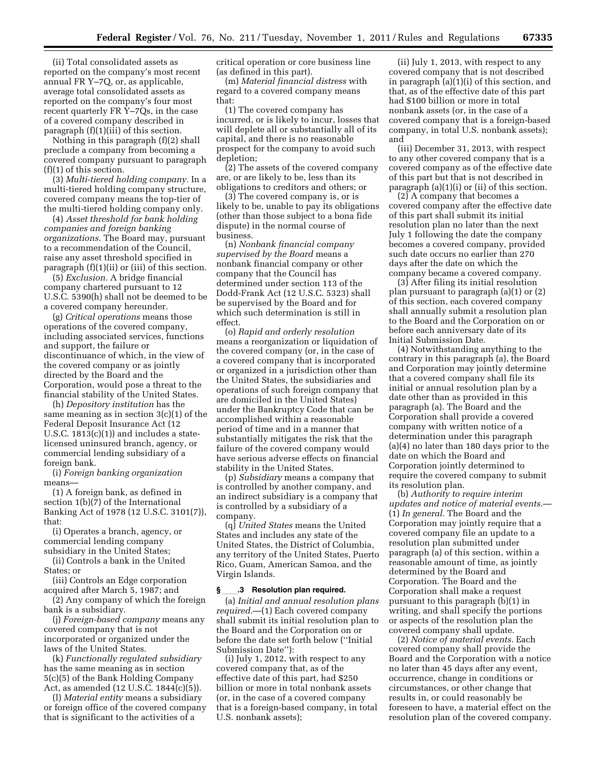(ii) Total consolidated assets as reported on the company's most recent annual FR Y–7Q, or, as applicable, average total consolidated assets as reported on the company's four most recent quarterly FR  $\bar{Y}$ –7 $\bar{Q}s$ , in the case of a covered company described in paragraph (f)(1)(iii) of this section.

Nothing in this paragraph (f)(2) shall preclude a company from becoming a covered company pursuant to paragraph (f)(1) of this section.

(3) *Multi-tiered holding company.* In a multi-tiered holding company structure, covered company means the top-tier of the multi-tiered holding company only.

(4) *Asset threshold for bank holding companies and foreign banking organizations.* The Board may, pursuant to a recommendation of the Council, raise any asset threshold specified in paragraph (f)(1)(ii) or (iii) of this section.

(5) *Exclusion.* A bridge financial company chartered pursuant to 12 U.S.C. 5390(h) shall not be deemed to be a covered company hereunder.

(g) *Critical operations* means those operations of the covered company, including associated services, functions and support, the failure or discontinuance of which, in the view of the covered company or as jointly directed by the Board and the Corporation, would pose a threat to the financial stability of the United States.

(h) *Depository institution* has the same meaning as in section 3(c)(1) of the Federal Deposit Insurance Act (12 U.S.C.  $1813(c)(1)$  and includes a statelicensed uninsured branch, agency, or commercial lending subsidiary of a foreign bank.

(i) *Foreign banking organization*  means—

(1) A foreign bank, as defined in section 1(b)(7) of the International Banking Act of 1978 (12 U.S.C. 3101(7)), that:

(i) Operates a branch, agency, or commercial lending company subsidiary in the United States;

(ii) Controls a bank in the United

States; or

(iii) Controls an Edge corporation acquired after March 5, 1987; and

(2) Any company of which the foreign bank is a subsidiary.

(j) *Foreign-based company* means any covered company that is not incorporated or organized under the laws of the United States.

(k) *Functionally regulated subsidiary*  has the same meaning as in section 5(c)(5) of the Bank Holding Company Act, as amended (12 U.S.C. 1844(c)(5)).

(l) *Material entity* means a subsidiary or foreign office of the covered company that is significant to the activities of a

critical operation or core business line (as defined in this part).

(m) *Material financial distress* with regard to a covered company means that:

(1) The covered company has incurred, or is likely to incur, losses that will deplete all or substantially all of its capital, and there is no reasonable prospect for the company to avoid such depletion;

(2) The assets of the covered company are, or are likely to be, less than its obligations to creditors and others; or

(3) The covered company is, or is likely to be, unable to pay its obligations (other than those subject to a bona fide dispute) in the normal course of business.

(n) *Nonbank financial company supervised by the Board* means a nonbank financial company or other company that the Council has determined under section 113 of the Dodd-Frank Act (12 U.S.C. 5323) shall be supervised by the Board and for which such determination is still in effect.

(o) *Rapid and orderly resolution*  means a reorganization or liquidation of the covered company (or, in the case of a covered company that is incorporated or organized in a jurisdiction other than the United States, the subsidiaries and operations of such foreign company that are domiciled in the United States) under the Bankruptcy Code that can be accomplished within a reasonable period of time and in a manner that substantially mitigates the risk that the failure of the covered company would have serious adverse effects on financial stability in the United States.

(p) *Subsidiary* means a company that is controlled by another company, and an indirect subsidiary is a company that is controlled by a subsidiary of a company.

(q) *United States* means the United States and includes any state of the United States, the District of Columbia, any territory of the United States, Puerto Rico, Guam, American Samoa, and the Virgin Islands.

### **§**ll**.3 Resolution plan required.**

(a) *Initial and annual resolution plans required.*—(1) Each covered company shall submit its initial resolution plan to the Board and the Corporation on or before the date set forth below (''Initial Submission Date''):

(i) July 1, 2012, with respect to any covered company that, as of the effective date of this part, had \$250 billion or more in total nonbank assets (or, in the case of a covered company that is a foreign-based company, in total U.S. nonbank assets);

(ii) July 1, 2013, with respect to any covered company that is not described in paragraph (a)(1)(i) of this section, and that, as of the effective date of this part had \$100 billion or more in total nonbank assets (or, in the case of a covered company that is a foreign-based company, in total U.S. nonbank assets); and

(iii) December 31, 2013, with respect to any other covered company that is a covered company as of the effective date of this part but that is not described in paragraph (a)(1)(i) or (ii) of this section.

(2) A company that becomes a covered company after the effective date of this part shall submit its initial resolution plan no later than the next July 1 following the date the company becomes a covered company, provided such date occurs no earlier than 270 days after the date on which the company became a covered company.

(3) After filing its initial resolution plan pursuant to paragraph (a)(1) or (2) of this section, each covered company shall annually submit a resolution plan to the Board and the Corporation on or before each anniversary date of its Initial Submission Date.

(4) Notwithstanding anything to the contrary in this paragraph (a), the Board and Corporation may jointly determine that a covered company shall file its initial or annual resolution plan by a date other than as provided in this paragraph (a). The Board and the Corporation shall provide a covered company with written notice of a determination under this paragraph (a)(4) no later than 180 days prior to the date on which the Board and Corporation jointly determined to require the covered company to submit its resolution plan.

(b) *Authority to require interim updates and notice of material events.*— (1) *In general.* The Board and the Corporation may jointly require that a covered company file an update to a resolution plan submitted under paragraph (a) of this section, within a reasonable amount of time, as jointly determined by the Board and Corporation. The Board and the Corporation shall make a request pursuant to this paragraph (b)(1) in writing, and shall specify the portions or aspects of the resolution plan the covered company shall update.

(2) *Notice of material events.* Each covered company shall provide the Board and the Corporation with a notice no later than 45 days after any event, occurrence, change in conditions or circumstances, or other change that results in, or could reasonably be foreseen to have, a material effect on the resolution plan of the covered company.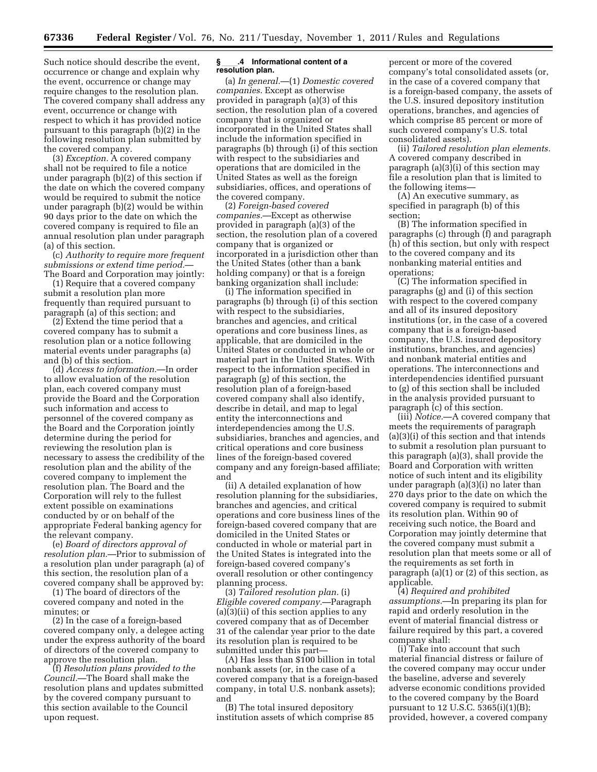Such notice should describe the event, occurrence or change and explain why the event, occurrence or change may require changes to the resolution plan. The covered company shall address any event, occurrence or change with respect to which it has provided notice pursuant to this paragraph (b)(2) in the following resolution plan submitted by the covered company.

(3) *Exception.* A covered company shall not be required to file a notice under paragraph (b)(2) of this section if the date on which the covered company would be required to submit the notice under paragraph (b)(2) would be within 90 days prior to the date on which the covered company is required to file an annual resolution plan under paragraph (a) of this section.

(c) *Authority to require more frequent submissions or extend time period.*— The Board and Corporation may jointly:

(1) Require that a covered company submit a resolution plan more frequently than required pursuant to paragraph (a) of this section; and

(2) Extend the time period that a covered company has to submit a resolution plan or a notice following material events under paragraphs (a) and (b) of this section.

(d) *Access to information.*—In order to allow evaluation of the resolution plan, each covered company must provide the Board and the Corporation such information and access to personnel of the covered company as the Board and the Corporation jointly determine during the period for reviewing the resolution plan is necessary to assess the credibility of the resolution plan and the ability of the covered company to implement the resolution plan. The Board and the Corporation will rely to the fullest extent possible on examinations conducted by or on behalf of the appropriate Federal banking agency for the relevant company.

(e) *Board of directors approval of resolution plan.*—Prior to submission of a resolution plan under paragraph (a) of this section, the resolution plan of a covered company shall be approved by:

(1) The board of directors of the covered company and noted in the minutes; or

(2) In the case of a foreign-based covered company only, a delegee acting under the express authority of the board of directors of the covered company to approve the resolution plan.

(f) *Resolution plans provided to the Council.*—The Board shall make the resolution plans and updates submitted by the covered company pursuant to this section available to the Council upon request.

### **§**ll**.4 Informational content of a resolution plan.**

(a) *In general.*—(1) *Domestic covered companies.* Except as otherwise provided in paragraph (a)(3) of this section, the resolution plan of a covered company that is organized or incorporated in the United States shall include the information specified in paragraphs (b) through (i) of this section with respect to the subsidiaries and operations that are domiciled in the United States as well as the foreign subsidiaries, offices, and operations of the covered company.

(2) *Foreign-based covered companies.*—Except as otherwise provided in paragraph (a)(3) of the section, the resolution plan of a covered company that is organized or incorporated in a jurisdiction other than the United States (other than a bank holding company) or that is a foreign banking organization shall include:

(i) The information specified in paragraphs (b) through (i) of this section with respect to the subsidiaries, branches and agencies, and critical operations and core business lines, as applicable, that are domiciled in the United States or conducted in whole or material part in the United States. With respect to the information specified in paragraph (g) of this section, the resolution plan of a foreign-based covered company shall also identify, describe in detail, and map to legal entity the interconnections and interdependencies among the U.S. subsidiaries, branches and agencies, and critical operations and core business lines of the foreign-based covered company and any foreign-based affiliate; and

(ii) A detailed explanation of how resolution planning for the subsidiaries, branches and agencies, and critical operations and core business lines of the foreign-based covered company that are domiciled in the United States or conducted in whole or material part in the United States is integrated into the foreign-based covered company's overall resolution or other contingency planning process.

(3) *Tailored resolution plan.* (i) *Eligible covered company.*—Paragraph (a)(3)(ii) of this section applies to any covered company that as of December 31 of the calendar year prior to the date its resolution plan is required to be submitted under this part—

(A) Has less than \$100 billion in total nonbank assets (or, in the case of a covered company that is a foreign-based company, in total U.S. nonbank assets); and

(B) The total insured depository institution assets of which comprise 85

percent or more of the covered company's total consolidated assets (or, in the case of a covered company that is a foreign-based company, the assets of the U.S. insured depository institution operations, branches, and agencies of which comprise 85 percent or more of such covered company's U.S. total consolidated assets).

(ii) *Tailored resolution plan elements.*  A covered company described in paragraph (a)(3)(i) of this section may file a resolution plan that is limited to the following items—

(A) An executive summary, as specified in paragraph (b) of this section;

(B) The information specified in paragraphs (c) through (f) and paragraph (h) of this section, but only with respect to the covered company and its nonbanking material entities and operations;

(C) The information specified in paragraphs (g) and (i) of this section with respect to the covered company and all of its insured depository institutions (or, in the case of a covered company that is a foreign-based company, the U.S. insured depository institutions, branches, and agencies) and nonbank material entities and operations. The interconnections and interdependencies identified pursuant to (g) of this section shall be included in the analysis provided pursuant to paragraph (c) of this section.

(iii) *Notice.*—A covered company that meets the requirements of paragraph (a)(3)(i) of this section and that intends to submit a resolution plan pursuant to this paragraph (a)(3), shall provide the Board and Corporation with written notice of such intent and its eligibility under paragraph (a)(3)(i) no later than 270 days prior to the date on which the covered company is required to submit its resolution plan. Within 90 of receiving such notice, the Board and Corporation may jointly determine that the covered company must submit a resolution plan that meets some or all of the requirements as set forth in paragraph (a)(1) or (2) of this section, as applicable.

(4) *Required and prohibited assumptions.*—In preparing its plan for rapid and orderly resolution in the event of material financial distress or failure required by this part, a covered company shall:

(i) Take into account that such material financial distress or failure of the covered company may occur under the baseline, adverse and severely adverse economic conditions provided to the covered company by the Board pursuant to 12 U.S.C. 5365(i)(1)(B); provided, however, a covered company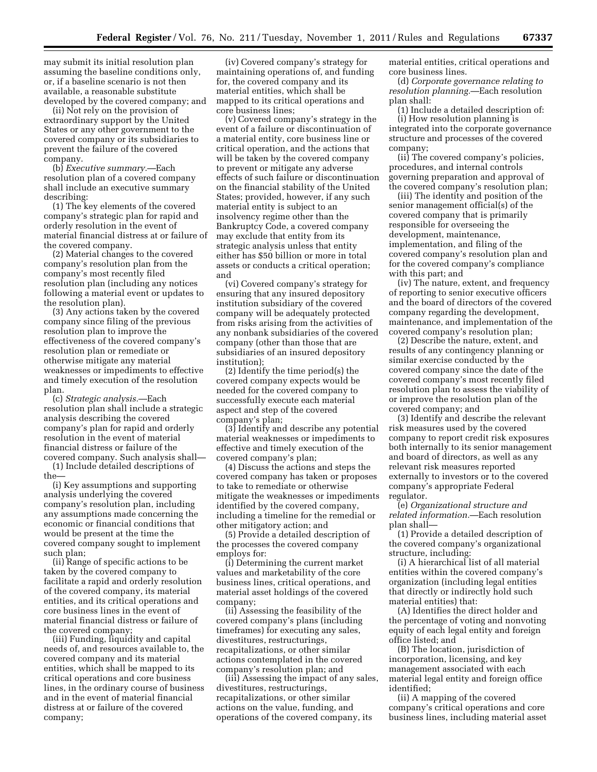may submit its initial resolution plan assuming the baseline conditions only, or, if a baseline scenario is not then available, a reasonable substitute developed by the covered company; and

(ii) Not rely on the provision of extraordinary support by the United States or any other government to the covered company or its subsidiaries to prevent the failure of the covered company.

(b) *Executive summary.*—Each resolution plan of a covered company shall include an executive summary describing:

(1) The key elements of the covered company's strategic plan for rapid and orderly resolution in the event of material financial distress at or failure of the covered company.

(2) Material changes to the covered company's resolution plan from the company's most recently filed resolution plan (including any notices following a material event or updates to the resolution plan).

(3) Any actions taken by the covered company since filing of the previous resolution plan to improve the effectiveness of the covered company's resolution plan or remediate or otherwise mitigate any material weaknesses or impediments to effective and timely execution of the resolution plan.

(c) *Strategic analysis.*—Each resolution plan shall include a strategic analysis describing the covered company's plan for rapid and orderly resolution in the event of material financial distress or failure of the covered company. Such analysis shall—

(1) Include detailed descriptions of the—

(i) Key assumptions and supporting analysis underlying the covered company's resolution plan, including any assumptions made concerning the economic or financial conditions that would be present at the time the covered company sought to implement such plan;

(ii) Range of specific actions to be taken by the covered company to facilitate a rapid and orderly resolution of the covered company, its material entities, and its critical operations and core business lines in the event of material financial distress or failure of the covered company;

(iii) Funding, liquidity and capital needs of, and resources available to, the covered company and its material entities, which shall be mapped to its critical operations and core business lines, in the ordinary course of business and in the event of material financial distress at or failure of the covered company;

(iv) Covered company's strategy for maintaining operations of, and funding for, the covered company and its material entities, which shall be mapped to its critical operations and core business lines;

(v) Covered company's strategy in the event of a failure or discontinuation of a material entity, core business line or critical operation, and the actions that will be taken by the covered company to prevent or mitigate any adverse effects of such failure or discontinuation on the financial stability of the United States; provided, however, if any such material entity is subject to an insolvency regime other than the Bankruptcy Code, a covered company may exclude that entity from its strategic analysis unless that entity either has \$50 billion or more in total assets or conducts a critical operation; and

(vi) Covered company's strategy for ensuring that any insured depository institution subsidiary of the covered company will be adequately protected from risks arising from the activities of any nonbank subsidiaries of the covered company (other than those that are subsidiaries of an insured depository institution);

(2) Identify the time period(s) the covered company expects would be needed for the covered company to successfully execute each material aspect and step of the covered company's plan;

(3) Identify and describe any potential material weaknesses or impediments to effective and timely execution of the covered company's plan;

(4) Discuss the actions and steps the covered company has taken or proposes to take to remediate or otherwise mitigate the weaknesses or impediments identified by the covered company, including a timeline for the remedial or other mitigatory action; and

(5) Provide a detailed description of the processes the covered company employs for:

(i) Determining the current market values and marketability of the core business lines, critical operations, and material asset holdings of the covered company;

(ii) Assessing the feasibility of the covered company's plans (including timeframes) for executing any sales, divestitures, restructurings, recapitalizations, or other similar actions contemplated in the covered company's resolution plan; and

(iii) Assessing the impact of any sales, divestitures, restructurings, recapitalizations, or other similar actions on the value, funding, and operations of the covered company, its

material entities, critical operations and core business lines.

(d) *Corporate governance relating to resolution planning.*—Each resolution plan shall:

(1) Include a detailed description of: (i) How resolution planning is integrated into the corporate governance structure and processes of the covered company;

(ii) The covered company's policies, procedures, and internal controls governing preparation and approval of the covered company's resolution plan;

(iii) The identity and position of the senior management official(s) of the covered company that is primarily responsible for overseeing the development, maintenance, implementation, and filing of the covered company's resolution plan and for the covered company's compliance with this part; and

(iv) The nature, extent, and frequency of reporting to senior executive officers and the board of directors of the covered company regarding the development, maintenance, and implementation of the covered company's resolution plan;

(2) Describe the nature, extent, and results of any contingency planning or similar exercise conducted by the covered company since the date of the covered company's most recently filed resolution plan to assess the viability of or improve the resolution plan of the covered company; and

(3) Identify and describe the relevant risk measures used by the covered company to report credit risk exposures both internally to its senior management and board of directors, as well as any relevant risk measures reported externally to investors or to the covered company's appropriate Federal regulator.

(e) *Organizational structure and related information.*—Each resolution plan shall—

(1) Provide a detailed description of the covered company's organizational structure, including:

(i) A hierarchical list of all material entities within the covered company's organization (including legal entities that directly or indirectly hold such material entities) that:

(A) Identifies the direct holder and the percentage of voting and nonvoting equity of each legal entity and foreign office listed; and

(B) The location, jurisdiction of incorporation, licensing, and key management associated with each material legal entity and foreign office identified;

(ii) A mapping of the covered company's critical operations and core business lines, including material asset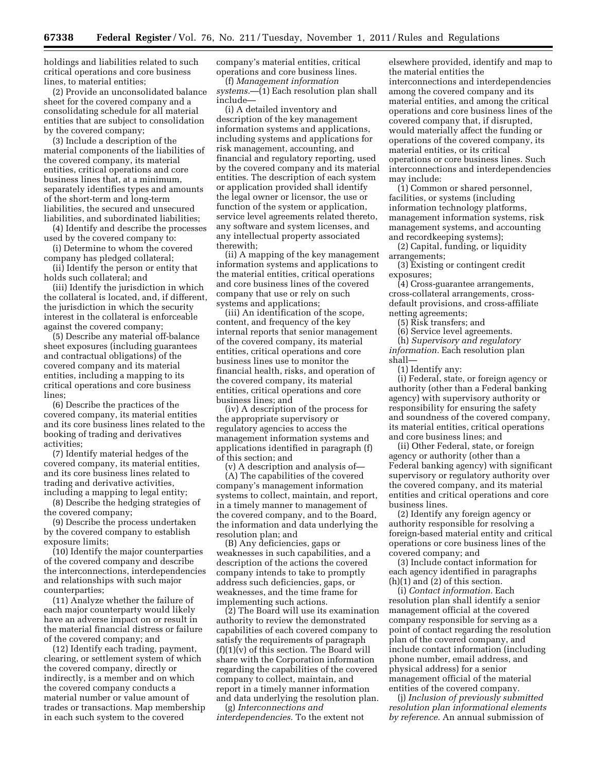holdings and liabilities related to such critical operations and core business lines, to material entities;

(2) Provide an unconsolidated balance sheet for the covered company and a consolidating schedule for all material entities that are subject to consolidation by the covered company;

(3) Include a description of the material components of the liabilities of the covered company, its material entities, critical operations and core business lines that, at a minimum, separately identifies types and amounts of the short-term and long-term liabilities, the secured and unsecured liabilities, and subordinated liabilities;

(4) Identify and describe the processes used by the covered company to:

(i) Determine to whom the covered company has pledged collateral;

(ii) Identify the person or entity that holds such collateral; and

(iii) Identify the jurisdiction in which the collateral is located, and, if different, the jurisdiction in which the security interest in the collateral is enforceable against the covered company;

(5) Describe any material off-balance sheet exposures (including guarantees and contractual obligations) of the covered company and its material entities, including a mapping to its critical operations and core business lines;

(6) Describe the practices of the covered company, its material entities and its core business lines related to the booking of trading and derivatives activities;

(7) Identify material hedges of the covered company, its material entities, and its core business lines related to trading and derivative activities, including a mapping to legal entity;

(8) Describe the hedging strategies of the covered company;

(9) Describe the process undertaken by the covered company to establish exposure limits;

(10) Identify the major counterparties of the covered company and describe the interconnections, interdependencies and relationships with such major counterparties;

(11) Analyze whether the failure of each major counterparty would likely have an adverse impact on or result in the material financial distress or failure of the covered company; and

(12) Identify each trading, payment, clearing, or settlement system of which the covered company, directly or indirectly, is a member and on which the covered company conducts a material number or value amount of trades or transactions. Map membership in each such system to the covered

company's material entities, critical operations and core business lines.

(f) *Management information systems.*—(1) Each resolution plan shall include—

(i) A detailed inventory and description of the key management information systems and applications, including systems and applications for risk management, accounting, and financial and regulatory reporting, used by the covered company and its material entities. The description of each system or application provided shall identify the legal owner or licensor, the use or function of the system or application, service level agreements related thereto, any software and system licenses, and any intellectual property associated therewith;

(ii) A mapping of the key management information systems and applications to the material entities, critical operations and core business lines of the covered company that use or rely on such systems and applications;

(iii) An identification of the scope, content, and frequency of the key internal reports that senior management of the covered company, its material entities, critical operations and core business lines use to monitor the financial health, risks, and operation of the covered company, its material entities, critical operations and core business lines; and

(iv) A description of the process for the appropriate supervisory or regulatory agencies to access the management information systems and applications identified in paragraph (f) of this section; and

(v) A description and analysis of— (A) The capabilities of the covered company's management information systems to collect, maintain, and report, in a timely manner to management of the covered company, and to the Board, the information and data underlying the resolution plan; and

(B) Any deficiencies, gaps or weaknesses in such capabilities, and a description of the actions the covered company intends to take to promptly address such deficiencies, gaps, or weaknesses, and the time frame for implementing such actions.

(2) The Board will use its examination authority to review the demonstrated capabilities of each covered company to satisfy the requirements of paragraph  $(f)(1)(v)$  of this section. The Board will share with the Corporation information regarding the capabilities of the covered company to collect, maintain, and report in a timely manner information and data underlying the resolution plan.

(g) *Interconnections and interdependencies.* To the extent not

elsewhere provided, identify and map to the material entities the interconnections and interdependencies among the covered company and its material entities, and among the critical operations and core business lines of the covered company that, if disrupted, would materially affect the funding or operations of the covered company, its material entities, or its critical operations or core business lines. Such interconnections and interdependencies may include:

(1) Common or shared personnel, facilities, or systems (including information technology platforms, management information systems, risk management systems, and accounting and recordkeeping systems);

(2) Capital, funding, or liquidity arrangements;

(3) Existing or contingent credit exposures;

(4) Cross-guarantee arrangements, cross-collateral arrangements, crossdefault provisions, and cross-affiliate netting agreements;

(5) Risk transfers; and

(6) Service level agreements.

(h) *Supervisory and regulatory information.* Each resolution plan shall—

(1) Identify any:

(i) Federal, state, or foreign agency or authority (other than a Federal banking agency) with supervisory authority or responsibility for ensuring the safety and soundness of the covered company, its material entities, critical operations and core business lines; and

(ii) Other Federal, state, or foreign agency or authority (other than a Federal banking agency) with significant supervisory or regulatory authority over the covered company, and its material entities and critical operations and core business lines.

(2) Identify any foreign agency or authority responsible for resolving a foreign-based material entity and critical operations or core business lines of the covered company; and

(3) Include contact information for each agency identified in paragraphs (h)(1) and (2) of this section.

(i) *Contact information.* Each resolution plan shall identify a senior management official at the covered company responsible for serving as a point of contact regarding the resolution plan of the covered company, and include contact information (including phone number, email address, and physical address) for a senior management official of the material entities of the covered company.

(j) *Inclusion of previously submitted resolution plan informational elements by reference.* An annual submission of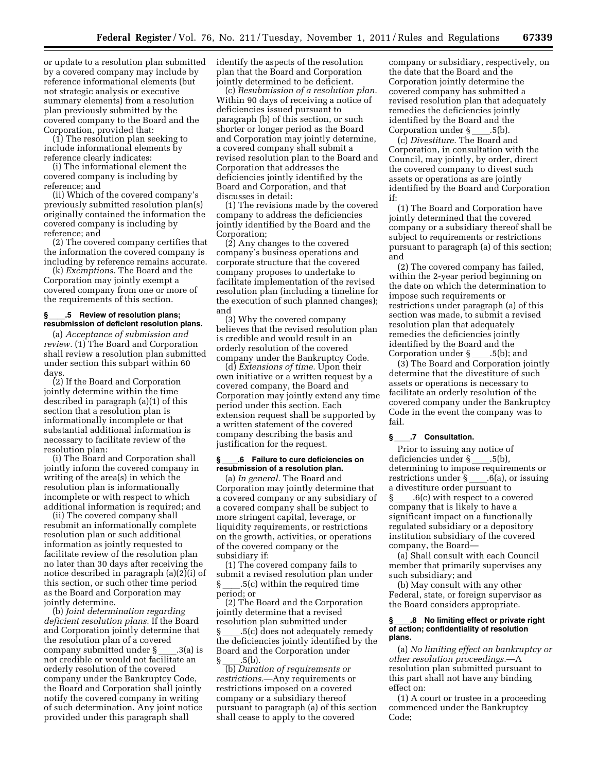or update to a resolution plan submitted by a covered company may include by reference informational elements (but not strategic analysis or executive summary elements) from a resolution plan previously submitted by the covered company to the Board and the Corporation, provided that:

(1) The resolution plan seeking to include informational elements by reference clearly indicates:

(i) The informational element the covered company is including by reference; and

(ii) Which of the covered company's previously submitted resolution plan(s) originally contained the information the covered company is including by reference; and

(2) The covered company certifies that the information the covered company is including by reference remains accurate.

(k) *Exemptions.* The Board and the Corporation may jointly exempt a covered company from one or more of the requirements of this section.

#### **§**ll**.5 Review of resolution plans; resubmission of deficient resolution plans.**

(a) *Acceptance of submission and review.* (1) The Board and Corporation shall review a resolution plan submitted under section this subpart within 60 days.

(2) If the Board and Corporation jointly determine within the time described in paragraph (a)(1) of this section that a resolution plan is informationally incomplete or that substantial additional information is necessary to facilitate review of the resolution plan:

(i) The Board and Corporation shall jointly inform the covered company in writing of the area(s) in which the resolution plan is informationally incomplete or with respect to which additional information is required; and

(ii) The covered company shall resubmit an informationally complete resolution plan or such additional information as jointly requested to facilitate review of the resolution plan no later than 30 days after receiving the notice described in paragraph (a)(2)(i) of this section, or such other time period as the Board and Corporation may jointly determine.

(b) *Joint determination regarding deficient resolution plans.* If the Board and Corporation jointly determine that the resolution plan of a covered company submitted under §\_\_\_.3(a) is<br>not credible or would not facilitate an orderly resolution of the covered company under the Bankruptcy Code, the Board and Corporation shall jointly notify the covered company in writing of such determination. Any joint notice provided under this paragraph shall

identify the aspects of the resolution plan that the Board and Corporation jointly determined to be deficient.

(c) *Resubmission of a resolution plan.*  Within 90 days of receiving a notice of deficiencies issued pursuant to paragraph (b) of this section, or such shorter or longer period as the Board and Corporation may jointly determine, a covered company shall submit a revised resolution plan to the Board and Corporation that addresses the deficiencies jointly identified by the Board and Corporation, and that discusses in detail:

(1) The revisions made by the covered company to address the deficiencies jointly identified by the Board and the Corporation;

(2) Any changes to the covered company's business operations and corporate structure that the covered company proposes to undertake to facilitate implementation of the revised resolution plan (including a timeline for the execution of such planned changes); and

(3) Why the covered company believes that the revised resolution plan is credible and would result in an orderly resolution of the covered company under the Bankruptcy Code.

(d) *Extensions of time.* Upon their own initiative or a written request by a covered company, the Board and Corporation may jointly extend any time period under this section. Each extension request shall be supported by a written statement of the covered company describing the basis and justification for the request.

### **§**ll**.6 Failure to cure deficiencies on resubmission of a resolution plan.**

(a) *In general.* The Board and Corporation may jointly determine that a covered company or any subsidiary of a covered company shall be subject to more stringent capital, leverage, or liquidity requirements, or restrictions on the growth, activities, or operations of the covered company or the subsidiary if:

(1) The covered company fails to submit a revised resolution plan under § ll.5(c) within the required time period; or

(2) The Board and the Corporation jointly determine that a revised resolution plan submitted under § ll.5(c) does not adequately remedy the deficiencies jointly identified by the Board and the Corporation under § \_\_\_\_.5(b).<br>(b) *Duration of requirements or* 

*restrictions.*—Any requirements or restrictions imposed on a covered company or a subsidiary thereof pursuant to paragraph (a) of this section shall cease to apply to the covered

company or subsidiary, respectively, on the date that the Board and the Corporation jointly determine the covered company has submitted a revised resolution plan that adequately remedies the deficiencies jointly identified by the Board and the

Corporation under §<sub>\_\_\_\_\_</sub>.5(b).<br>(c) *Divestiture.* The Board and Corporation, in consultation with the Council, may jointly, by order, direct the covered company to divest such assets or operations as are jointly identified by the Board and Corporation if:

(1) The Board and Corporation have jointly determined that the covered company or a subsidiary thereof shall be subject to requirements or restrictions pursuant to paragraph (a) of this section; and

(2) The covered company has failed, within the 2-year period beginning on the date on which the determination to impose such requirements or restrictions under paragraph (a) of this section was made, to submit a revised resolution plan that adequately remedies the deficiencies jointly identified by the Board and the

Corporation under §\_\_\_\_.5(b); and<br>(3) The Board and Corporation jointly determine that the divestiture of such assets or operations is necessary to facilitate an orderly resolution of the covered company under the Bankruptcy Code in the event the company was to fail.

## **§**ll**.7 Consultation.**

Prior to issuing any notice of deficiencies under § \_\_\_\_.5(b),<br>determining to impose requirements or restrictions under § \_\_\_\_.6(a), or issuing<br>a divestiture order pursuant to  $\S$  6(c) with respect to a covered company that is likely to have a significant impact on a functionally regulated subsidiary or a depository institution subsidiary of the covered company, the Board—

(a) Shall consult with each Council member that primarily supervises any such subsidiary; and

(b) May consult with any other Federal, state, or foreign supervisor as the Board considers appropriate.

#### **§**ll**.8 No limiting effect or private right of action; confidentiality of resolution plans.**

(a) *No limiting effect on bankruptcy or other resolution proceedings.*—A resolution plan submitted pursuant to this part shall not have any binding effect on:

(1) A court or trustee in a proceeding commenced under the Bankruptcy Code;